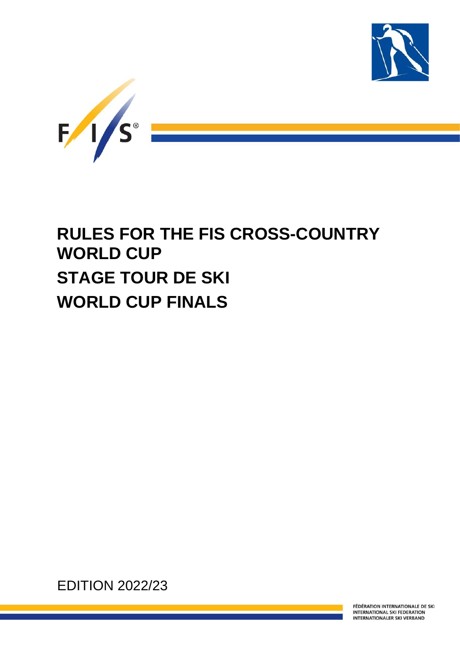



# **RULES FOR THE FIS CROSS-COUNTRY WORLD CUP STAGE TOUR DE SKI WORLD CUP FINALS**

EDITION 2022/23

FÉDÉRATION INTERNATIONALE DE SKI **INTERNATIONAL SKI FEDERATION INTERNATIONALER SKI VERBAND**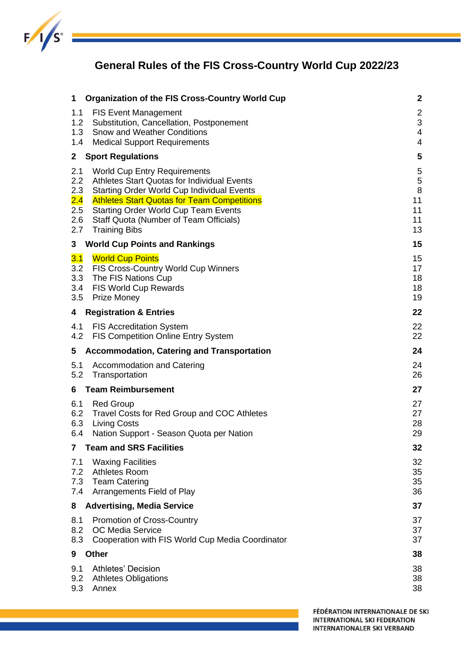

## **General Rules of the FIS Cross-Country World Cup 2022/23**

| 1                                                     | <b>Organization of the FIS Cross-Country World Cup</b>                                                                                                                                                                                                                                                         | $\overline{\mathbf{c}}$               |
|-------------------------------------------------------|----------------------------------------------------------------------------------------------------------------------------------------------------------------------------------------------------------------------------------------------------------------------------------------------------------------|---------------------------------------|
| 1.1<br>1.2<br>1.3                                     | <b>FIS Event Management</b><br>Substitution, Cancellation, Postponement<br><b>Snow and Weather Conditions</b>                                                                                                                                                                                                  | $\overline{c}$<br>3<br>$\overline{4}$ |
| 1.4<br>$\mathbf{2}$                                   | <b>Medical Support Requirements</b><br><b>Sport Regulations</b>                                                                                                                                                                                                                                                | $\overline{4}$<br>5                   |
|                                                       |                                                                                                                                                                                                                                                                                                                |                                       |
| 2.1<br>2.2<br>2.3<br>2.4<br>$2.5\,$<br>$2.6\,$<br>2.7 | <b>World Cup Entry Requirements</b><br>Athletes Start Quotas for Individual Events<br><b>Starting Order World Cup Individual Events</b><br><b>Athletes Start Quotas for Team Competitions</b><br><b>Starting Order World Cup Team Events</b><br>Staff Quota (Number of Team Officials)<br><b>Training Bibs</b> | 5<br>5<br>8<br>11<br>11<br>11<br>13   |
| 3                                                     | <b>World Cup Points and Rankings</b>                                                                                                                                                                                                                                                                           | 15                                    |
| 3.1<br>3.2<br>3.3<br>3.4<br>3.5                       | <b>World Cup Points</b><br>FIS Cross-Country World Cup Winners<br>The FIS Nations Cup<br><b>FIS World Cup Rewards</b><br><b>Prize Money</b>                                                                                                                                                                    | 15<br>17<br>18<br>18<br>19            |
| 4                                                     | <b>Registration &amp; Entries</b>                                                                                                                                                                                                                                                                              | 22                                    |
| 4.1<br>4.2                                            | <b>FIS Accreditation System</b><br><b>FIS Competition Online Entry System</b>                                                                                                                                                                                                                                  | 22<br>22                              |
|                                                       |                                                                                                                                                                                                                                                                                                                |                                       |
| 5                                                     | <b>Accommodation, Catering and Transportation</b>                                                                                                                                                                                                                                                              | 24                                    |
| 5.1<br>5.2                                            | <b>Accommodation and Catering</b><br>Transportation                                                                                                                                                                                                                                                            | 24<br>26                              |
| 6                                                     | <b>Team Reimbursement</b>                                                                                                                                                                                                                                                                                      | 27                                    |
| 6.1<br>6.2<br>6.3<br>6.4                              | <b>Red Group</b><br>Travel Costs for Red Group and COC Athletes<br><b>Living Costs</b><br>Nation Support - Season Quota per Nation                                                                                                                                                                             | 27<br>27<br>28<br>29                  |
| 7                                                     | <b>Team and SRS Facilities</b>                                                                                                                                                                                                                                                                                 | 32                                    |
| 7.1<br>7.2<br>7.3<br>7.4                              | <b>Waxing Facilities</b><br><b>Athletes Room</b><br><b>Team Catering</b><br>Arrangements Field of Play                                                                                                                                                                                                         | 32<br>35<br>35<br>36                  |
| 8                                                     | <b>Advertising, Media Service</b>                                                                                                                                                                                                                                                                              | 37                                    |
| 8.1<br>8.2<br>8.3                                     | <b>Promotion of Cross-Country</b><br>OC Media Service<br>Cooperation with FIS World Cup Media Coordinator                                                                                                                                                                                                      | 37<br>37<br>37                        |
| 9                                                     | <b>Other</b>                                                                                                                                                                                                                                                                                                   | 38                                    |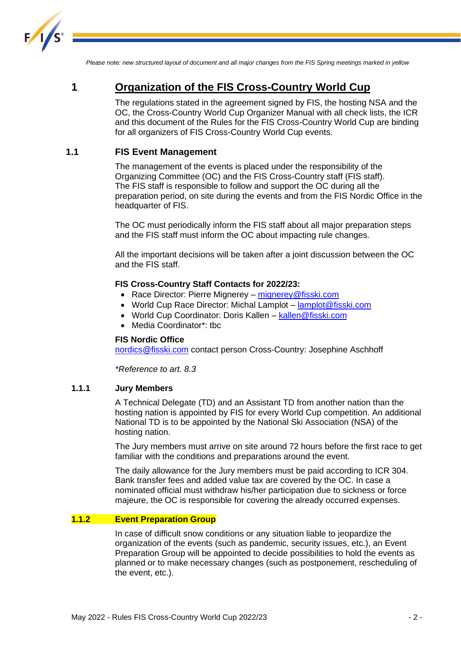

*Please note: new structured layout of document and all major changes from the FIS Spring meetings marked in yellow*

### <span id="page-2-0"></span>**1 Organization of the FIS Cross-Country World Cup**

The regulations stated in the agreement signed by FIS, the hosting NSA and the OC, the Cross-Country World Cup Organizer Manual with all check lists, the ICR and this document of the Rules for the FIS Cross-Country World Cup are binding for all organizers of FIS Cross-Country World Cup events.

#### <span id="page-2-1"></span>**1.1 FIS Event Management**

The management of the events is placed under the responsibility of the Organizing Committee (OC) and the FIS Cross-Country staff (FIS staff). The FIS staff is responsible to follow and support the OC during all the preparation period, on site during the events and from the FIS Nordic Office in the headquarter of FIS.

The OC must periodically inform the FIS staff about all major preparation steps and the FIS staff must inform the OC about impacting rule changes.

All the important decisions will be taken after a joint discussion between the OC and the FIS staff.

#### **FIS Cross-Country Staff Contacts for 2022/23:**

- Race Director: Pierre Mignerey [mignerey@fisski.com](mailto:mignerey@fisski.com)
- World Cup Race Director: Michal Lamplot [lamplot@fisski.com](mailto:lamplot@fisski.com)
- World Cup Coordinator: Doris Kallen [kallen@fisski.com](mailto:kallen@fisski.com)
- Media Coordinator\*: tbc

#### **FIS Nordic Office**

[nordics@fisski.com](mailto:nordics@fisski.com) contact person Cross-Country: Josephine Aschhoff

*\*Reference to art. 8.3*

#### **1.1.1 Jury Members**

A Technical Delegate (TD) and an Assistant TD from another nation than the hosting nation is appointed by FIS for every World Cup competition. An additional National TD is to be appointed by the National Ski Association (NSA) of the hosting nation.

The Jury members must arrive on site around 72 hours before the first race to get familiar with the conditions and preparations around the event.

The daily allowance for the Jury members must be paid according to ICR 304. Bank transfer fees and added value tax are covered by the OC. In case a nominated official must withdraw his/her participation due to sickness or force majeure, the OC is responsible for covering the already occurred expenses.

#### **1.1.2 Event Preparation Group**

In case of difficult snow conditions or any situation liable to jeopardize the organization of the events (such as pandemic, security issues, etc.), an Event Preparation Group will be appointed to decide possibilities to hold the events as planned or to make necessary changes (such as postponement, rescheduling of the event, etc.).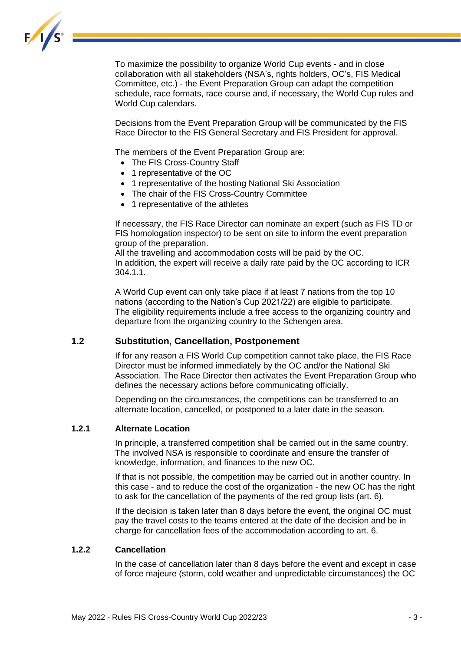

To maximize the possibility to organize World Cup events - and in close collaboration with all stakeholders (NSA's, rights holders, OC's, FIS Medical Committee, etc.) - the Event Preparation Group can adapt the competition schedule, race formats, race course and, if necessary, the World Cup rules and World Cup calendars.

Decisions from the Event Preparation Group will be communicated by the FIS Race Director to the FIS General Secretary and FIS President for approval.

The members of the Event Preparation Group are:

- The FIS Cross-Country Staff
- 1 representative of the OC
- 1 representative of the hosting National Ski Association
- The chair of the FIS Cross-Country Committee
- 1 representative of the athletes

If necessary, the FIS Race Director can nominate an expert (such as FIS TD or FIS homologation inspector) to be sent on site to inform the event preparation group of the preparation.

All the travelling and accommodation costs will be paid by the OC. In addition, the expert will receive a daily rate paid by the OC according to ICR 304.1.1.

A World Cup event can only take place if at least 7 nations from the top 10 nations (according to the Nation's Cup 2021/22) are eligible to participate. The eligibility requirements include a free access to the organizing country and departure from the organizing country to the Schengen area.

#### <span id="page-3-0"></span>**1.2 Substitution, Cancellation, Postponement**

If for any reason a FIS World Cup competition cannot take place, the FIS Race Director must be informed immediately by the OC and/or the National Ski Association. The Race Director then activates the Event Preparation Group who defines the necessary actions before communicating officially.

Depending on the circumstances, the competitions can be transferred to an alternate location, cancelled, or postponed to a later date in the season.

#### **1.2.1 Alternate Location**

In principle, a transferred competition shall be carried out in the same country. The involved NSA is responsible to coordinate and ensure the transfer of knowledge, information, and finances to the new OC.

If that is not possible, the competition may be carried out in another country. In this case - and to reduce the cost of the organization - the new OC has the right to ask for the cancellation of the payments of the red group lists (art. 6).

If the decision is taken later than 8 days before the event, the original OC must pay the travel costs to the teams entered at the date of the decision and be in charge for cancellation fees of the accommodation according to art. 6.

#### **1.2.2 Cancellation**

In the case of cancellation later than 8 days before the event and except in case of force majeure (storm, cold weather and unpredictable circumstances) the OC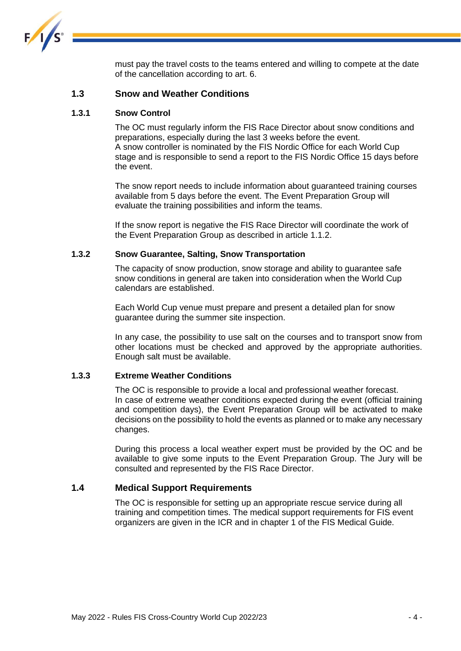

must pay the travel costs to the teams entered and willing to compete at the date of the cancellation according to art. 6.

#### <span id="page-4-0"></span>**1.3 Snow and Weather Conditions**

#### **1.3.1 Snow Control**

The OC must regularly inform the FIS Race Director about snow conditions and preparations, especially during the last 3 weeks before the event. A snow controller is nominated by the FIS Nordic Office for each World Cup stage and is responsible to send a report to the FIS Nordic Office 15 days before the event.

The snow report needs to include information about guaranteed training courses available from 5 days before the event. The Event Preparation Group will evaluate the training possibilities and inform the teams.

If the snow report is negative the FIS Race Director will coordinate the work of the Event Preparation Group as described in article 1.1.2.

#### **1.3.2 Snow Guarantee, Salting, Snow Transportation**

The capacity of snow production, snow storage and ability to guarantee safe snow conditions in general are taken into consideration when the World Cup calendars are established.

Each World Cup venue must prepare and present a detailed plan for snow guarantee during the summer site inspection.

In any case, the possibility to use salt on the courses and to transport snow from other locations must be checked and approved by the appropriate authorities. Enough salt must be available.

#### **1.3.3 Extreme Weather Conditions**

The OC is responsible to provide a local and professional weather forecast. In case of extreme weather conditions expected during the event (official training and competition days), the Event Preparation Group will be activated to make decisions on the possibility to hold the events as planned or to make any necessary changes.

During this process a local weather expert must be provided by the OC and be available to give some inputs to the Event Preparation Group. The Jury will be consulted and represented by the FIS Race Director.

#### <span id="page-4-1"></span>**1.4 Medical Support Requirements**

The OC is responsible for setting up an appropriate rescue service during all training and competition times. The medical support requirements for FIS event organizers are given in the ICR and in chapter 1 of the FIS Medical Guide.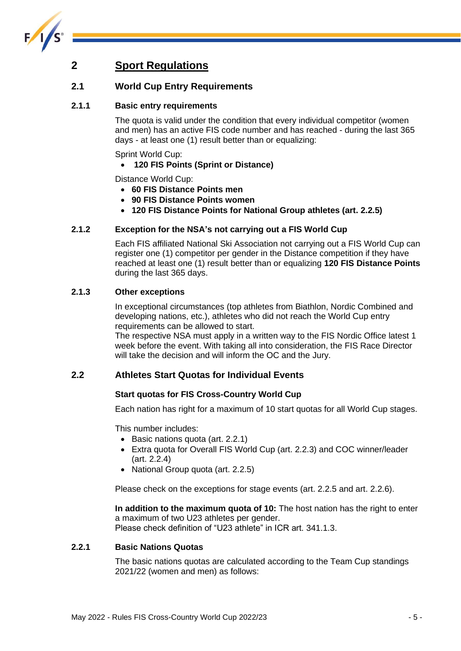

### <span id="page-5-0"></span>**2 Sport Regulations**

#### <span id="page-5-1"></span>**2.1 World Cup Entry Requirements**

#### **2.1.1 Basic entry requirements**

The quota is valid under the condition that every individual competitor (women and men) has an active FIS code number and has reached - during the last 365 days - at least one (1) result better than or equalizing:

Sprint World Cup:

• **120 FIS Points (Sprint or Distance)**

Distance World Cup:

- **60 FIS Distance Points men**
- **90 FIS Distance Points women**
- **120 FIS Distance Points for National Group athletes (art. 2.2.5)**

#### **2.1.2 Exception for the NSA's not carrying out a FIS World Cup**

Each FIS affiliated National Ski Association not carrying out a FIS World Cup can register one (1) competitor per gender in the Distance competition if they have reached at least one (1) result better than or equalizing **120 FIS Distance Points**  during the last 365 days.

#### **2.1.3 Other exceptions**

In exceptional circumstances (top athletes from Biathlon, Nordic Combined and developing nations, etc.), athletes who did not reach the World Cup entry requirements can be allowed to start.

The respective NSA must apply in a written way to the FIS Nordic Office latest 1 week before the event. With taking all into consideration, the FIS Race Director will take the decision and will inform the OC and the Jury.

#### <span id="page-5-2"></span>**2.2 Athletes Start Quotas for Individual Events**

#### **Start quotas for FIS Cross-Country World Cup**

Each nation has right for a maximum of 10 start quotas for all World Cup stages.

This number includes:

- Basic nations quota (art. 2.2.1)
- Extra quota for Overall FIS World Cup (art. 2.2.3) and COC winner/leader (art. 2.2.4)
- National Group quota (art. 2.2.5)

Please check on the exceptions for stage events (art. 2.2.5 and art. 2.2.6).

**In addition to the maximum quota of 10:** The host nation has the right to enter a maximum of two U23 athletes per gender. Please check definition of "U23 athlete" in ICR art. 341.1.3.

#### **2.2.1 Basic Nations Quotas**

The basic nations quotas are calculated according to the Team Cup standings 2021/22 (women and men) as follows: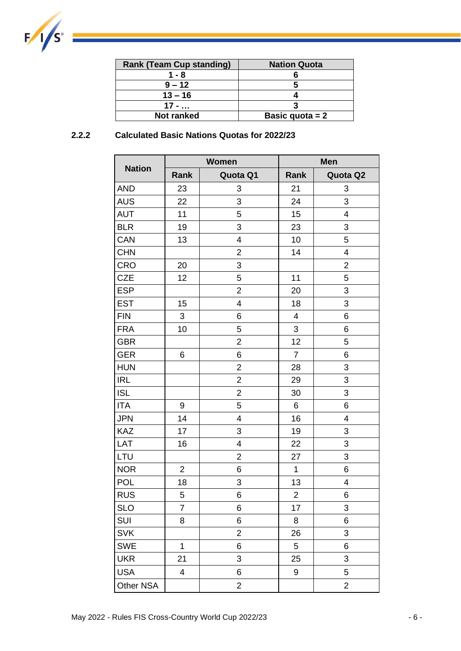

| <b>Rank (Team Cup standing)</b> | <b>Nation Quota</b> |
|---------------------------------|---------------------|
| 1 - 8                           |                     |
| $9 - 12$                        |                     |
| $13 - 16$                       |                     |
| $17 - $                         |                     |
| <b>Not ranked</b>               | Basic quota $= 2$   |

#### **2.2.2 Calculated Basic Nations Quotas for 2022/23**

|               |                         | <b>Women</b>   | <b>Men</b>     |                |  |
|---------------|-------------------------|----------------|----------------|----------------|--|
| <b>Nation</b> | Rank                    | Quota Q1       | Rank           | Quota Q2       |  |
| <b>AND</b>    | 23                      | 3              | 21             | 3              |  |
| <b>AUS</b>    | 22                      | 3              | 24             | 3              |  |
| <b>AUT</b>    | 11                      | 5              | 15             | 4              |  |
| <b>BLR</b>    | 19                      | 3              | 23             | 3              |  |
| CAN           | 13                      | $\overline{4}$ | 10             | 5              |  |
| <b>CHN</b>    |                         | $\overline{2}$ | 14             | 4              |  |
| <b>CRO</b>    | 20                      | 3              |                | $\overline{2}$ |  |
| <b>CZE</b>    | 12                      | 5              | 11             | 5              |  |
| <b>ESP</b>    |                         | $\overline{2}$ | 20             | 3              |  |
| <b>EST</b>    | 15                      | 4              | 18             | 3              |  |
| <b>FIN</b>    | 3                       | 6              | 4              | 6              |  |
| <b>FRA</b>    | 10                      | 5              | 3              | 6              |  |
| <b>GBR</b>    |                         | $\overline{2}$ | 12             | 5              |  |
| <b>GER</b>    | 6                       | 6              | $\overline{7}$ | 6              |  |
| <b>HUN</b>    |                         | $\overline{2}$ | 28             | 3              |  |
| <b>IRL</b>    |                         | $\overline{2}$ | 29             | 3              |  |
| <b>ISL</b>    |                         | $\overline{2}$ | 30             | 3              |  |
| <b>ITA</b>    | 9                       | 5              | 6              | 6              |  |
| <b>JPN</b>    | 14                      | 4              | 16             | 4              |  |
| <b>KAZ</b>    | 17                      | 3              | 19             | 3              |  |
| LAT           | 16                      | 4              | 22             | 3              |  |
| LTU           |                         | $\overline{2}$ | 27             | 3              |  |
| <b>NOR</b>    | $\overline{2}$          | 6              | $\mathbf 1$    | 6              |  |
| <b>POL</b>    | 18                      | 3              | 13             | 4              |  |
| <b>RUS</b>    | 5                       | 6              | $\overline{2}$ | 6              |  |
| <b>SLO</b>    | $\overline{7}$          | 6              | 17             | 3              |  |
| SUI           | 8                       | 6              | 8              | 6              |  |
| <b>SVK</b>    |                         | $\overline{c}$ | 26             | 3              |  |
| <b>SWE</b>    | $\overline{1}$          | 6              | 5              | 6              |  |
| <b>UKR</b>    | 21                      | 3              | 25             | 3              |  |
| <b>USA</b>    | $\overline{\mathbf{4}}$ | 6              | 9              | 5              |  |
| Other NSA     |                         | $\overline{c}$ |                | $\overline{2}$ |  |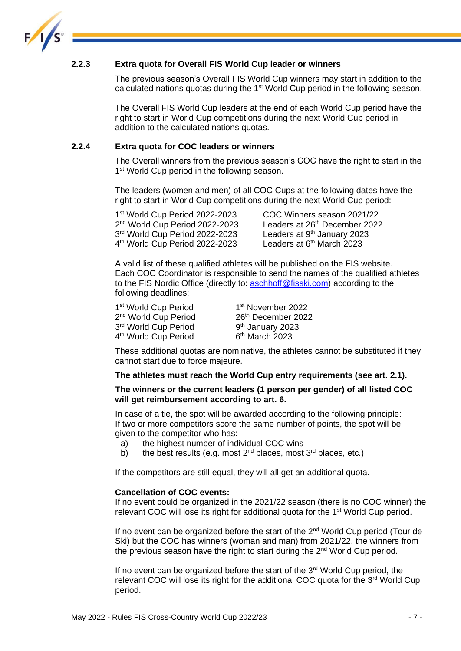

#### **2.2.3 Extra quota for Overall FIS World Cup leader or winners**

The previous season's Overall FIS World Cup winners may start in addition to the calculated nations quotas during the 1<sup>st</sup> World Cup period in the following season.

The Overall FIS World Cup leaders at the end of each World Cup period have the right to start in World Cup competitions during the next World Cup period in addition to the calculated nations quotas.

#### **2.2.4 Extra quota for COC leaders or winners**

The Overall winners from the previous season's COC have the right to start in the 1<sup>st</sup> World Cup period in the following season.

The leaders (women and men) of all COC Cups at the following dates have the right to start in World Cup competitions during the next World Cup period:

1 st World Cup Period 2022-2023 COC Winners season 2021/22 2<sup>nd</sup> World Cup Period 2022-2023 Leaders at 26 3<sup>rd</sup> World Cup Period 2022-2023 Leaders at 9 4 th World Cup Period 2022-2023 Leaders at 6

Leaders at 26<sup>th</sup> December 2022 Leaders at  $9<sup>th</sup>$  January 2023 Leaders at  $6<sup>th</sup>$  March 2023

A valid list of these qualified athletes will be published on the FIS website. Each COC Coordinator is responsible to send the names of the qualified athletes to the FIS Nordic Office (directly to: [aschhoff@fisski.com\)](mailto:aschhoff@fisski.com) according to the following deadlines:

| 1 <sup>st</sup> World Cup Period | 1 <sup>st</sup> November 2022 |
|----------------------------------|-------------------------------|
| 2 <sup>nd</sup> World Cup Period | 26th December 2022            |
| 3 <sup>rd</sup> World Cup Period | 9 <sup>th</sup> January 2023  |
| 4 <sup>th</sup> World Cup Period | 6 <sup>th</sup> March 2023    |

These additional quotas are nominative, the athletes cannot be substituted if they cannot start due to force majeure.

#### **The athletes must reach the World Cup entry requirements (see art. 2.1).**

#### **The winners or the current leaders (1 person per gender) of all listed COC will get reimbursement according to art. 6.**

In case of a tie, the spot will be awarded according to the following principle: If two or more competitors score the same number of points, the spot will be given to the competitor who has:

- a) the highest number of individual COC wins
- b) the best results (e.g. most  $2^{nd}$  places, most  $3^{rd}$  places, etc.)

If the competitors are still equal, they will all get an additional quota.

#### **Cancellation of COC events:**

If no event could be organized in the 2021/22 season (there is no COC winner) the relevant COC will lose its right for additional quota for the 1<sup>st</sup> World Cup period.

If no event can be organized before the start of the 2<sup>nd</sup> World Cup period (Tour de Ski) but the COC has winners (woman and man) from 2021/22, the winners from the previous season have the right to start during the 2<sup>nd</sup> World Cup period.

If no event can be organized before the start of the  $3<sup>rd</sup>$  World Cup period, the relevant COC will lose its right for the additional COC quota for the 3<sup>rd</sup> World Cup period.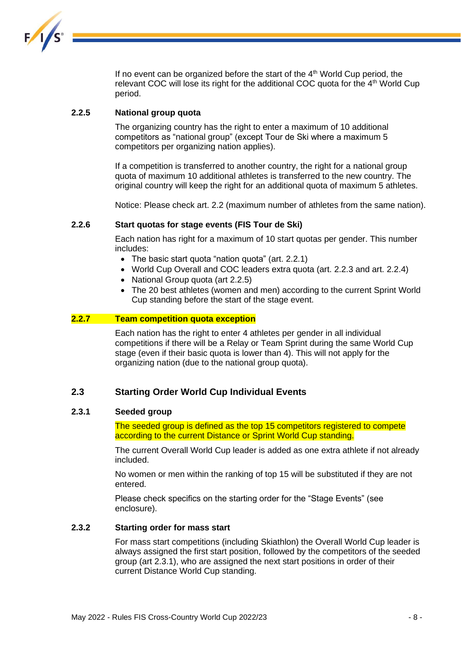

If no event can be organized before the start of the  $4<sup>th</sup>$  World Cup period, the relevant COC will lose its right for the additional COC quota for the 4<sup>th</sup> World Cup period.

#### **2.2.5 National group quota**

The organizing country has the right to enter a maximum of 10 additional competitors as "national group" (except Tour de Ski where a maximum 5 competitors per organizing nation applies).

If a competition is transferred to another country, the right for a national group quota of maximum 10 additional athletes is transferred to the new country. The original country will keep the right for an additional quota of maximum 5 athletes.

Notice: Please check art. 2.2 (maximum number of athletes from the same nation).

#### **2.2.6 Start quotas for stage events (FIS Tour de Ski)**

Each nation has right for a maximum of 10 start quotas per gender. This number includes:

- The basic start quota "nation quota" (art. 2.2.1)
- World Cup Overall and COC leaders extra quota (art. 2.2.3 and art. 2.2.4)
- National Group quota (art 2.2.5)
- The 20 best athletes (women and men) according to the current Sprint World Cup standing before the start of the stage event.

#### **2.2.7 Team competition quota exception**

Each nation has the right to enter 4 athletes per gender in all individual competitions if there will be a Relay or Team Sprint during the same World Cup stage (even if their basic quota is lower than 4). This will not apply for the organizing nation (due to the national group quota).

#### <span id="page-8-0"></span>**2.3 Starting Order World Cup Individual Events**

#### **2.3.1 Seeded group**

The seeded group is defined as the top 15 competitors registered to compete according to the current Distance or Sprint World Cup standing.

The current Overall World Cup leader is added as one extra athlete if not already included.

No women or men within the ranking of top 15 will be substituted if they are not entered.

Please check specifics on the starting order for the "Stage Events" (see enclosure).

#### **2.3.2 Starting order for mass start**

For mass start competitions (including Skiathlon) the Overall World Cup leader is always assigned the first start position, followed by the competitors of the seeded group (art 2.3.1), who are assigned the next start positions in order of their current Distance World Cup standing.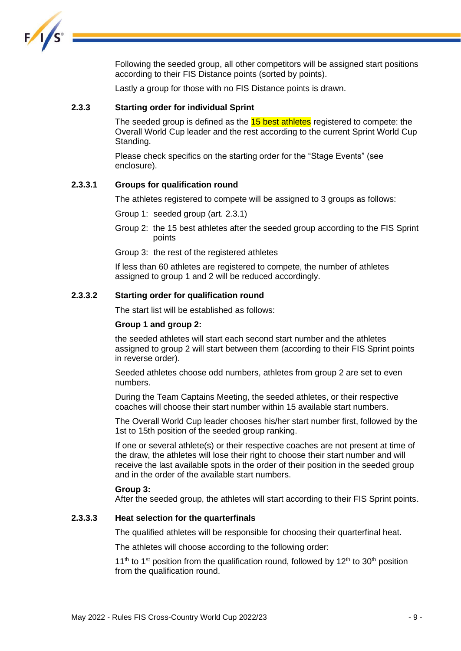

Following the seeded group, all other competitors will be assigned start positions according to their FIS Distance points (sorted by points).

Lastly a group for those with no FIS Distance points is drawn.

#### **2.3.3 Starting order for individual Sprint**

The seeded group is defined as the **15 best athletes** registered to compete: the Overall World Cup leader and the rest according to the current Sprint World Cup Standing.

Please check specifics on the starting order for the "Stage Events" (see enclosure).

#### **2.3.3.1 Groups for qualification round**

The athletes registered to compete will be assigned to 3 groups as follows:

Group 1: seeded group (art. 2.3.1)

Group 2: the 15 best athletes after the seeded group according to the FIS Sprint points

Group 3: the rest of the registered athletes

If less than 60 athletes are registered to compete, the number of athletes assigned to group 1 and 2 will be reduced accordingly.

#### **2.3.3.2 Starting order for qualification round**

The start list will be established as follows:

#### **Group 1 and group 2:**

the seeded athletes will start each second start number and the athletes assigned to group 2 will start between them (according to their FIS Sprint points in reverse order).

Seeded athletes choose odd numbers, athletes from group 2 are set to even numbers.

During the Team Captains Meeting, the seeded athletes, or their respective coaches will choose their start number within 15 available start numbers.

The Overall World Cup leader chooses his/her start number first, followed by the 1st to 15th position of the seeded group ranking.

If one or several athlete(s) or their respective coaches are not present at time of the draw, the athletes will lose their right to choose their start number and will receive the last available spots in the order of their position in the seeded group and in the order of the available start numbers.

#### **Group 3:**

After the seeded group, the athletes will start according to their FIS Sprint points.

#### **2.3.3.3 Heat selection for the quarterfinals**

The qualified athletes will be responsible for choosing their quarterfinal heat.

The athletes will choose according to the following order:

11<sup>th</sup> to 1<sup>st</sup> position from the qualification round, followed by 12<sup>th</sup> to 30<sup>th</sup> position from the qualification round.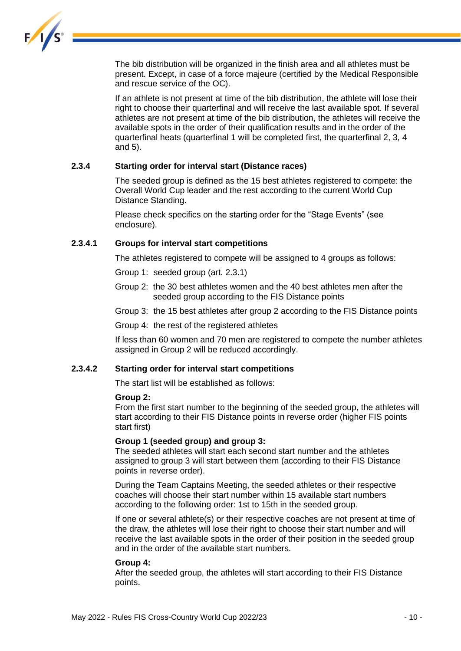

The bib distribution will be organized in the finish area and all athletes must be present. Except, in case of a force majeure (certified by the Medical Responsible and rescue service of the OC).

If an athlete is not present at time of the bib distribution, the athlete will lose their right to choose their quarterfinal and will receive the last available spot. If several athletes are not present at time of the bib distribution, the athletes will receive the available spots in the order of their qualification results and in the order of the quarterfinal heats (quarterfinal 1 will be completed first, the quarterfinal 2, 3, 4 and 5).

#### **2.3.4 Starting order for interval start (Distance races)**

The seeded group is defined as the 15 best athletes registered to compete: the Overall World Cup leader and the rest according to the current World Cup Distance Standing.

Please check specifics on the starting order for the "Stage Events" (see enclosure).

#### **2.3.4.1 Groups for interval start competitions**

The athletes registered to compete will be assigned to 4 groups as follows:

Group 1: seeded group (art. 2.3.1)

- Group 2: the 30 best athletes women and the 40 best athletes men after the seeded group according to the FIS Distance points
- Group 3: the 15 best athletes after group 2 according to the FIS Distance points

Group 4: the rest of the registered athletes

If less than 60 women and 70 men are registered to compete the number athletes assigned in Group 2 will be reduced accordingly.

#### **2.3.4.2 Starting order for interval start competitions**

The start list will be established as follows:

#### **Group 2:**

From the first start number to the beginning of the seeded group, the athletes will start according to their FIS Distance points in reverse order (higher FIS points start first)

#### **Group 1 (seeded group) and group 3:**

The seeded athletes will start each second start number and the athletes assigned to group 3 will start between them (according to their FIS Distance points in reverse order).

During the Team Captains Meeting, the seeded athletes or their respective coaches will choose their start number within 15 available start numbers according to the following order: 1st to 15th in the seeded group.

If one or several athlete(s) or their respective coaches are not present at time of the draw, the athletes will lose their right to choose their start number and will receive the last available spots in the order of their position in the seeded group and in the order of the available start numbers.

#### **Group 4:**

After the seeded group, the athletes will start according to their FIS Distance points.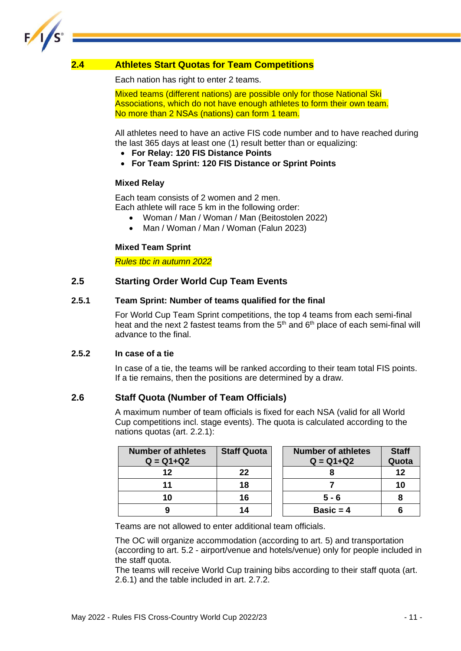

#### <span id="page-11-0"></span>**2.4 Athletes Start Quotas for Team Competitions**

Each nation has right to enter 2 teams.

Mixed teams (different nations) are possible only for those National Ski Associations, which do not have enough athletes to form their own team. No more than 2 NSAs (nations) can form 1 team.

All athletes need to have an active FIS code number and to have reached during the last 365 days at least one (1) result better than or equalizing:

- **For Relay: 120 FIS Distance Points**
- **For Team Sprint: 120 FIS Distance or Sprint Points**

#### **Mixed Relay**

Each team consists of 2 women and 2 men. Each athlete will race 5 km in the following order:

- Woman / Man / Woman / Man (Beitostolen 2022)
- Man / Woman / Man / Woman (Falun 2023)

#### **Mixed Team Sprint**

*Rules tbc in autumn 2022*

#### <span id="page-11-1"></span>**2.5 Starting Order World Cup Team Events**

#### **2.5.1 Team Sprint: Number of teams qualified for the final**

For World Cup Team Sprint competitions, the top 4 teams from each semi-final heat and the next 2 fastest teams from the  $5<sup>th</sup>$  and  $6<sup>th</sup>$  place of each semi-final will advance to the final.

#### **2.5.2 In case of a tie**

In case of a tie, the teams will be ranked according to their team total FIS points. If a tie remains, then the positions are determined by a draw.

#### <span id="page-11-2"></span>**2.6 Staff Quota (Number of Team Officials)**

A maximum number of team officials is fixed for each NSA (valid for all World Cup competitions incl. stage events). The quota is calculated according to the nations quotas (art. 2.2.1):

| <b>Number of athletes</b><br>$Q = Q1 + Q2$ | <b>Staff Quota</b> | <b>Number of athletes</b><br>$Q = Q1 + Q2$ | <b>Staff</b><br>Quota |
|--------------------------------------------|--------------------|--------------------------------------------|-----------------------|
| 12                                         | 22                 |                                            | 12                    |
|                                            | 18                 |                                            | 10                    |
| 10                                         | 16                 | $5 - 6$                                    |                       |
| 9                                          | 14                 | Basic = $4$                                |                       |

Teams are not allowed to enter additional team officials.

The OC will organize accommodation (according to art. 5) and transportation (according to art. 5.2 - airport/venue and hotels/venue) only for people included in the staff quota.

The teams will receive World Cup training bibs according to their staff quota (art. 2.6.1) and the table included in art. 2.7.2.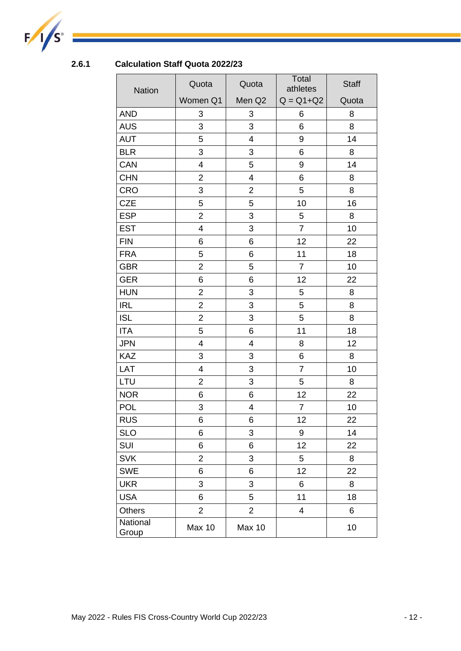

### **2.6.1 Calculation Staff Quota 2022/23**

| <b>Nation</b>     | Quota<br>Quota          |                         | Total<br>athletes | <b>Staff</b> |
|-------------------|-------------------------|-------------------------|-------------------|--------------|
|                   | Women Q1                | Men Q <sub>2</sub>      | $Q = Q1 + Q2$     | Quota        |
| <b>AND</b>        | 3                       | 3                       | 6                 | 8            |
| <b>AUS</b>        | 3                       | 3                       | 6                 | 8            |
| <b>AUT</b>        | 5                       | $\overline{\mathbf{4}}$ | 9                 | 14           |
| <b>BLR</b>        | 3                       | 3                       | 6                 | 8            |
| CAN               | $\overline{\mathbf{4}}$ | 5                       | $\boldsymbol{9}$  | 14           |
| <b>CHN</b>        | $\overline{\mathbf{c}}$ | 4                       | 6                 | 8            |
| <b>CRO</b>        | 3                       | $\overline{2}$          | 5                 | 8            |
| <b>CZE</b>        | 5                       | 5                       | 10                | 16           |
| <b>ESP</b>        | $\overline{2}$          | 3                       | 5                 | 8            |
| <b>EST</b>        | 4                       | 3                       | $\overline{7}$    | 10           |
| <b>FIN</b>        | 6                       | 6                       | 12                | 22           |
| <b>FRA</b>        | 5                       | 6                       | 11                | 18           |
| <b>GBR</b>        | $\overline{2}$          | 5                       | $\overline{7}$    | 10           |
| <b>GER</b>        | 6                       | 6                       | 12                | 22           |
| <b>HUN</b>        | $\overline{2}$          | 3                       | 5                 | 8            |
| <b>IRL</b>        | $\overline{2}$          | 3                       | 5                 | 8            |
| <b>ISL</b>        | $\overline{2}$          | 3                       | 5                 | 8            |
| <b>ITA</b>        | 5                       | 6                       | 11                | 18           |
| <b>JPN</b>        | 4                       | $\overline{\mathbf{4}}$ | 8                 | 12           |
| <b>KAZ</b>        | 3                       | 3                       | 6                 | 8            |
| LAT               | $\overline{\mathbf{4}}$ | 3                       | $\overline{7}$    | 10           |
| <b>LTU</b>        | $\overline{2}$          | 3                       | 5                 | 8            |
| <b>NOR</b>        | 6                       | 6                       | 12                | 22           |
| <b>POL</b>        | 3                       | 4                       | $\overline{7}$    | 10           |
| <b>RUS</b>        | 6                       | 6                       | 12                | 22           |
| <b>SLO</b>        | 6                       | 3                       | 9                 | 14           |
| SUI               | 6                       | 6                       | 12                | 22           |
| <b>SVK</b>        | $\overline{2}$          | 3                       | 5                 | 8            |
| <b>SWE</b>        | 6                       | 6                       | 12                | 22           |
| <b>UKR</b>        | 3                       | 3                       | 6                 | 8            |
| <b>USA</b>        | 6                       | 5                       | 11                | 18           |
| <b>Others</b>     | $\overline{2}$          | $\overline{2}$          | $\overline{4}$    | 6            |
| National<br>Group | <b>Max 10</b>           | <b>Max 10</b>           |                   | 10           |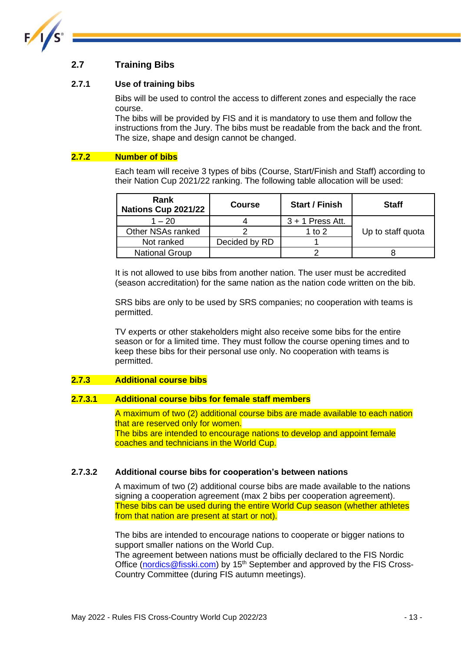

### <span id="page-13-0"></span>**2.7 Training Bibs**

#### **2.7.1 Use of training bibs**

Bibs will be used to control the access to different zones and especially the race course.

The bibs will be provided by FIS and it is mandatory to use them and follow the instructions from the Jury. The bibs must be readable from the back and the front. The size, shape and design cannot be changed.

#### **2.7.2 Number of bibs**

Each team will receive 3 types of bibs (Course, Start/Finish and Staff) according to their Nation Cup 2021/22 ranking. The following table allocation will be used:

| Rank<br>Nations Cup 2021/22 | <b>Course</b> | <b>Start / Finish</b> | <b>Staff</b>      |
|-----------------------------|---------------|-----------------------|-------------------|
| $1 - 20$                    |               | $3 + 1$ Press Att.    |                   |
| Other NSAs ranked           |               | 1 to $2$              | Up to staff quota |
| Not ranked                  | Decided by RD |                       |                   |
| <b>National Group</b>       |               |                       |                   |

It is not allowed to use bibs from another nation. The user must be accredited (season accreditation) for the same nation as the nation code written on the bib.

SRS bibs are only to be used by SRS companies; no cooperation with teams is permitted.

TV experts or other stakeholders might also receive some bibs for the entire season or for a limited time. They must follow the course opening times and to keep these bibs for their personal use only. No cooperation with teams is permitted.

#### **2.7.3 Additional course bibs**

#### **2.7.3.1 Additional course bibs for female staff members**

A maximum of two (2) additional course bibs are made available to each nation that are reserved only for women. The bibs are intended to encourage nations to develop and appoint female coaches and technicians in the World Cup.

#### **2.7.3.2 Additional course bibs for cooperation's between nations**

A maximum of two (2) additional course bibs are made available to the nations signing a cooperation agreement (max 2 bibs per cooperation agreement). These bibs can be used during the entire World Cup season (whether athletes from that nation are present at start or not).

The bibs are intended to encourage nations to cooperate or bigger nations to support smaller nations on the World Cup.

The agreement between nations must be officially declared to the FIS Nordic Office [\(nordics@fisski.com\)](mailto:nordics@fisski.com) by  $15<sup>th</sup>$  September and approved by the FIS Cross-Country Committee (during FIS autumn meetings).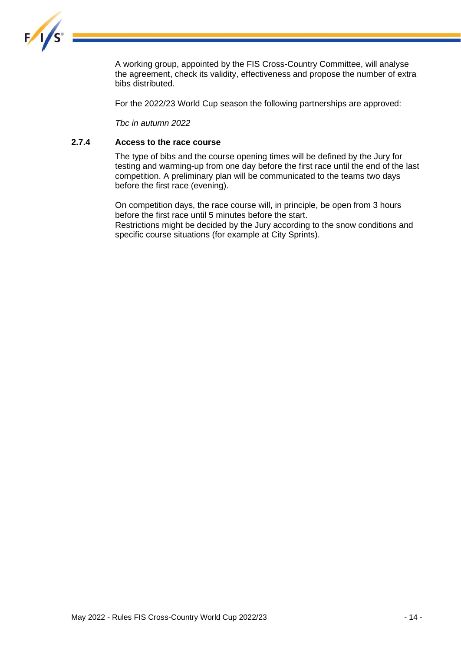

A working group, appointed by the FIS Cross-Country Committee, will analyse the agreement, check its validity, effectiveness and propose the number of extra bibs distributed.

For the 2022/23 World Cup season the following partnerships are approved:

*Tbc in autumn 2022*

#### **2.7.4 Access to the race course**

The type of bibs and the course opening times will be defined by the Jury for testing and warming-up from one day before the first race until the end of the last competition. A preliminary plan will be communicated to the teams two days before the first race (evening).

On competition days, the race course will, in principle, be open from 3 hours before the first race until 5 minutes before the start. Restrictions might be decided by the Jury according to the snow conditions and specific course situations (for example at City Sprints).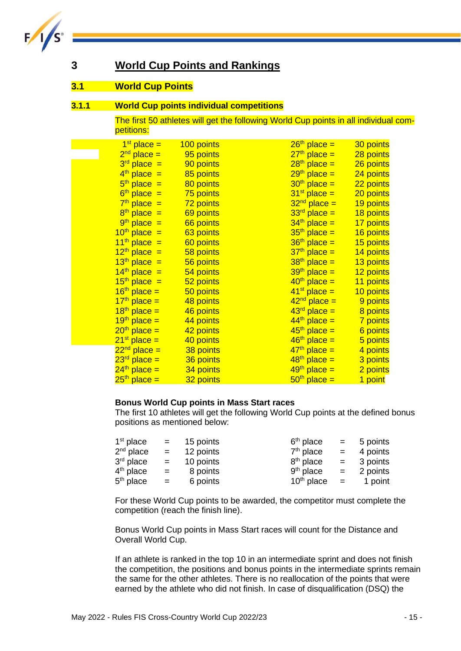

### <span id="page-15-0"></span>**3 World Cup Points and Rankings**

#### <span id="page-15-1"></span>**3.1 World Cup Points**

#### **3.1.1 World Cup points individual competitions**

The first 50 athletes will get the following World Cup points in all individual competitions:

| $1st$ place =            | 100 points | $26th$ place = | 30 points |
|--------------------------|------------|----------------|-----------|
| $2nd place =$            | 95 points  | $27th$ place = | 28 points |
| $3rd$ place =            | 90 points  | $28th$ place = | 26 points |
| $4th$ place =            | 85 points  | $29th$ place = | 24 points |
| $5th$ place =            | 80 points  | $30th$ place = | 22 points |
| $6th$ place =            | 75 points  | $31st$ place = | 20 points |
| $7th$ place =            | 72 points  | $32nd$ place = | 19 points |
| $8th$ place =            | 69 points  | $33rd$ place = | 18 points |
| $9th$ place =            | 66 points  | $34th$ place = | 17 points |
| $10th$ place =           | 63 points  | $35th$ place = | 16 points |
| $11^{th}$ place =        | 60 points  | $36th$ place = | 15 points |
| $12th$ place =           | 58 points  | $37th$ place = | 14 points |
| $13th$ place =           | 56 points  | $38th$ place = | 13 points |
| $14th$ place =           | 54 points  | $39th$ place = | 12 points |
| $15th$ place =           | 52 points  | $40th$ place = | 11 points |
| $16th$ place =           | 50 points  | $41st$ place = | 10 points |
| $17th$ place =           | 48 points  | $42nd$ place = | 9 points  |
| $18th$ place =           | 46 points  | $43rd$ place = | 8 points  |
| $19th$ place =           | 44 points  | $44th$ place = | 7 points  |
| $20th$ place =           | 42 points  | $45th$ place = | 6 points  |
| $21st$ place =           | 40 points  | $46th$ place = | 5 points  |
| $22nd$ place =           | 38 points  | $47th$ place = | 4 points  |
| $23^{\text{rd}}$ place = | 36 points  | $48th$ place = | 3 points  |
| $24th$ place =           | 34 points  | $49th$ place = | 2 points  |
| $25th$ place =           | 32 points  | $50th$ place = | 1 point   |

#### **Bonus World Cup points in Mass Start races**

The first 10 athletes will get the following World Cup points at the defined bonus positions as mentioned below:

| $1st$ place | $\equiv$ $\equiv$ | 15 points | $6th$ place           |     | $= 5$ points |
|-------------|-------------------|-----------|-----------------------|-----|--------------|
| $2nd$ place | $=$               | 12 points | $7th$ place           | $=$ | 4 points     |
| $3rd$ place | $=$               | 10 points | 8 <sup>th</sup> place | $=$ | 3 points     |
| $4th$ place | $=$               | 8 points  | $9th$ place           | $=$ | 2 points     |
| $5th$ place | $=$               | 6 points  | $10th$ place          | $=$ | 1 point      |

For these World Cup points to be awarded, the competitor must complete the competition (reach the finish line).

Bonus World Cup points in Mass Start races will count for the Distance and Overall World Cup.

If an athlete is ranked in the top 10 in an intermediate sprint and does not finish the competition, the positions and bonus points in the intermediate sprints remain the same for the other athletes. There is no reallocation of the points that were earned by the athlete who did not finish. In case of disqualification (DSQ) the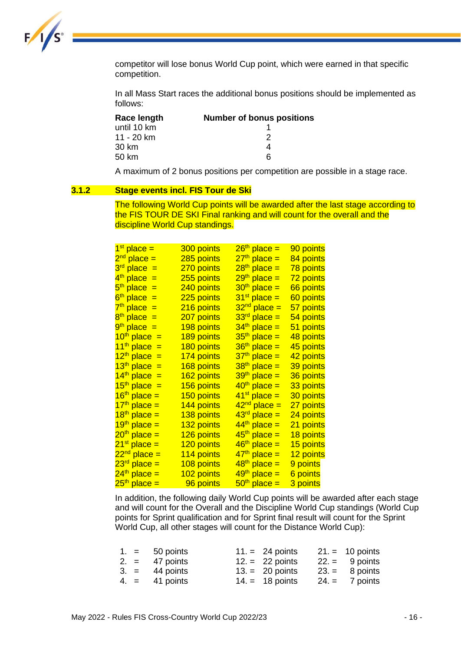

competitor will lose bonus World Cup point, which were earned in that specific competition.

In all Mass Start races the additional bonus positions should be implemented as follows:

| Race length | <b>Number of bonus positions</b> |
|-------------|----------------------------------|
| until 10 km |                                  |
| 11 - 20 km  | 2                                |
| 30 km       |                                  |
| 50 km       | ิค                               |

A maximum of 2 bonus positions per competition are possible in a stage race.

#### **3.1.2 Stage events incl. FIS Tour de Ski**

The following World Cup points will be awarded after the last stage according to the FIS TOUR DE SKI Final ranking and will count for the overall and the discipline World Cup standings.

| 1 <sup>st</sup> place =  | 300 points        | 26 <sup>th</sup> place = | <u>90 points</u>      |
|--------------------------|-------------------|--------------------------|-----------------------|
| $2nd$ place =            | <u>285 points</u> | 27 <sup>th</sup> place = | <u>84 points</u>      |
| 3 <sup>rd</sup> place =  | 270 points        | 28 <sup>th</sup> place = | <u>78 points</u>      |
| 4 <sup>th</sup> place =  | 255 points        | 29 <sup>th</sup> place = | <u>72 points</u>      |
| 5 <sup>th</sup> place =  | 240 points        | $30th$ place =           | 66 points             |
| $6th$ place $=$          | 225 points        | 31 <sup>st</sup> place = | 60 points             |
| 7 <sup>th</sup> place =  | 216 points        | 32 <sup>nd</sup> place = | <u>57 points</u>      |
| 8 <sup>th</sup> place =  | 207 points        | 33 <sup>rd</sup> place = | <u>54 points</u>      |
| 9 <sup>th</sup> place =  | 198 points        | 34 <sup>th</sup> place = | 51 points             |
| $10th$ place =           | <u>189 points</u> | 35 <sup>th</sup> place = | 48 points             |
| 11 <sup>th</sup> place = | 180 points        | 36 <sup>th</sup> place = | 45 points             |
| 12 <sup>th</sup> place = | 174 points        | 37 <sup>th</sup> place = | 42 points             |
| 13 <sup>th</sup> place = | 168 points        | 38 <sup>th</sup> place = | 39 points             |
| 14 <sup>th</sup> place = | 162 points        | 39 <sup>th</sup> place = | 36 points             |
| 15 <sup>th</sup> place = | 156 points        | 40 <sup>th</sup> place = | 33 points             |
| 16 <sup>th</sup> place = | 150 points        | 41 <sup>st</sup> place = | 30 points             |
| 17 <sup>th</sup> place = | 144 points        | 42 <sup>nd</sup> place = | 27 points             |
| $18th$ place =           | 138 points        | 43 <sup>rd</sup> place = | 24 points             |
| 19 <sup>th</sup> place = | 132 points        | 44 <sup>th</sup> place = | 21 points             |
| 20 <sup>th</sup> place = | 126 points        | 45 <sup>th</sup> place = | <u>18 points</u>      |
| 21 <sup>st</sup> place = | 120 points        | 46 <sup>th</sup> place = | 15 points             |
| 22 <sup>nd</sup> place = | 114 points        | 47 <sup>th</sup> place = | <u>12 points</u>      |
| 23 <sup>rd</sup> place = | 108 points        | 48 <sup>th</sup> place = | <mark>9 points</mark> |
| 24 <sup>th</sup> place = | 102 points        | 49 <sup>th</sup> place = | <mark>6 points</mark> |
| $25th$ place =           | 96 points         | $50th$ place =           | 3 points              |

In addition, the following daily World Cup points will be awarded after each stage and will count for the Overall and the Discipline World Cup standings (World Cup points for Sprint qualification and for Sprint final result will count for the Sprint World Cup, all other stages will count for the Distance World Cup):

|  | $1. = 50 \text{ points}$ | $11 = 24$ points  | $21 = 10$ points |
|--|--------------------------|-------------------|------------------|
|  | $2. = 47$ points         | $12. = 22$ points | $22 = 9$ points  |
|  | $3. = 44$ points         | $13. = 20$ points | $23 = 8$ points  |
|  | $4. = 41$ points         | $14. = 18$ points | $24 = 7$ points  |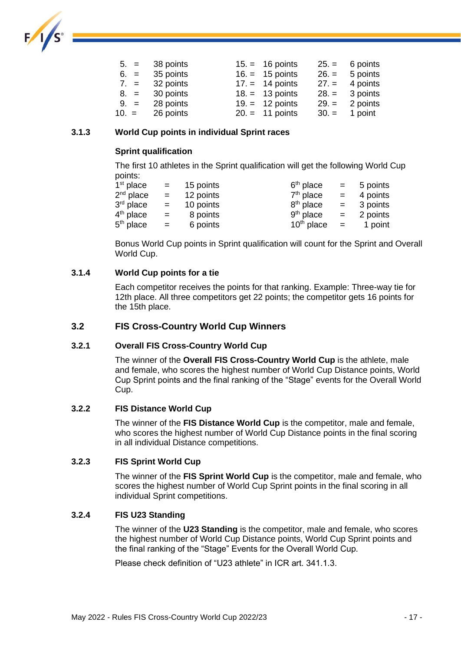

| $5. = 38 \text{ points}$ | $15 = 16$ points          | $25 = 6$ points  |
|--------------------------|---------------------------|------------------|
| $6. = 35$ points         | $16. = 15$ points         | $26. = 5$ points |
| $7. = 32 \text{ points}$ | $17. = 14$ points         | $27. = 4$ points |
| $8. = 30$ points         | $18. = 13$ points         | $28. = 3$ points |
| $9. = 28 \text{ points}$ | $19. = 12 \text{ points}$ | $29. = 2$ points |
| $10. = 26$ points        | $20. = 11 \text{ points}$ | $30. = 1$ point  |

#### **3.1.3 World Cup points in individual Sprint races**

#### **Sprint qualification**

The first 10 athletes in the Sprint qualification will get the following World Cup points:

| $1st$ place | $=$ $-$ | 15 points | $6th$ place           | $=$ $-$ | 5 points |
|-------------|---------|-----------|-----------------------|---------|----------|
| $2nd$ place | $=$     | 12 points | $7th$ place           | $=$     | 4 points |
| $3rd$ place | $=$     | 10 points | 8 <sup>th</sup> place | $=$     | 3 points |
| $4th$ place | $=$     | 8 points  | $9th$ place           | $=$     | 2 points |
| $5th$ place | $=$     | 6 points  | $10th$ place          | $=$     | 1 point  |

Bonus World Cup points in Sprint qualification will count for the Sprint and Overall World Cup.

#### **3.1.4 World Cup points for a tie**

Each competitor receives the points for that ranking. Example: Three-way tie for 12th place. All three competitors get 22 points; the competitor gets 16 points for the 15th place.

#### <span id="page-17-0"></span>**3.2 FIS Cross-Country World Cup Winners**

#### **3.2.1 Overall FIS Cross-Country World Cup**

The winner of the **Overall FIS Cross-Country World Cup** is the athlete, male and female, who scores the highest number of World Cup Distance points, World Cup Sprint points and the final ranking of the "Stage" events for the Overall World Cup.

#### **3.2.2 FIS Distance World Cup**

The winner of the **FIS Distance World Cup** is the competitor, male and female, who scores the highest number of World Cup Distance points in the final scoring in all individual Distance competitions.

#### **3.2.3 FIS Sprint World Cup**

The winner of the **FIS Sprint World Cup** is the competitor, male and female, who scores the highest number of World Cup Sprint points in the final scoring in all individual Sprint competitions.

#### **3.2.4 FIS U23 Standing**

The winner of the **U23 Standing** is the competitor, male and female, who scores the highest number of World Cup Distance points, World Cup Sprint points and the final ranking of the "Stage" Events for the Overall World Cup.

Please check definition of "U23 athlete" in ICR art. 341.1.3.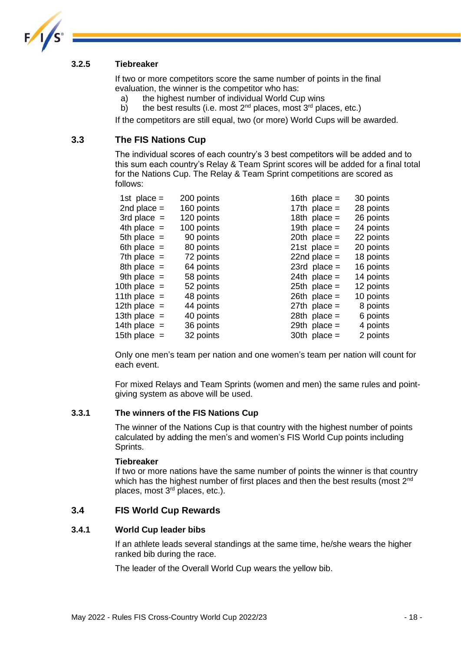

#### **3.2.5 Tiebreaker**

If two or more competitors score the same number of points in the final evaluation, the winner is the competitor who has:

- a) the highest number of individual World Cup wins
- b) the best results (i.e. most  $2^{nd}$  places, most  $3^{rd}$  places, etc.)

If the competitors are still equal, two (or more) World Cups will be awarded.

#### <span id="page-18-0"></span>**3.3 The FIS Nations Cup**

The individual scores of each country's 3 best competitors will be added and to this sum each country's Relay & Team Sprint scores will be added for a final total for the Nations Cup. The Relay & Team Sprint competitions are scored as follows:

| 1st place $=$   | 200 points | 16th place $=$ | 30 points |
|-----------------|------------|----------------|-----------|
| 2nd place $=$   | 160 points | 17th place $=$ | 28 points |
| $3rd$ place $=$ | 120 points | 18th place $=$ | 26 points |
| 4th place $=$   | 100 points | 19th place $=$ | 24 points |
| 5th place $=$   | 90 points  | 20th place $=$ | 22 points |
| 6th place $=$   | 80 points  | $21st$ place = | 20 points |
| 7th place $=$   | 72 points  | 22nd place $=$ | 18 points |
| 8th place $=$   | 64 points  | 23rd place $=$ | 16 points |
| 9th place $=$   | 58 points  | 24th place $=$ | 14 points |
| 10th place $=$  | 52 points  | $25th$ place = | 12 points |
| 11th place $=$  | 48 points  | $26th$ place = | 10 points |
| 12th place $=$  | 44 points  | $27th$ place = | 8 points  |
| 13th place $=$  | 40 points  | 28th place $=$ | 6 points  |
| 14th place $=$  | 36 points  | 29th place $=$ | 4 points  |
| 15th place $=$  | 32 points  | 30th place $=$ | 2 points  |

Only one men's team per nation and one women's team per nation will count for each event.

For mixed Relays and Team Sprints (women and men) the same rules and pointgiving system as above will be used.

#### **3.3.1 The winners of the FIS Nations Cup**

The winner of the Nations Cup is that country with the highest number of points calculated by adding the men's and women's FIS World Cup points including Sprints.

#### **Tiebreaker**

If two or more nations have the same number of points the winner is that country which has the highest number of first places and then the best results (most  $2<sup>nd</sup>$ places, most 3rd places, etc.).

#### <span id="page-18-1"></span>**3.4 FIS World Cup Rewards**

#### **3.4.1 World Cup leader bibs**

If an athlete leads several standings at the same time, he/she wears the higher ranked bib during the race.

The leader of the Overall World Cup wears the yellow bib.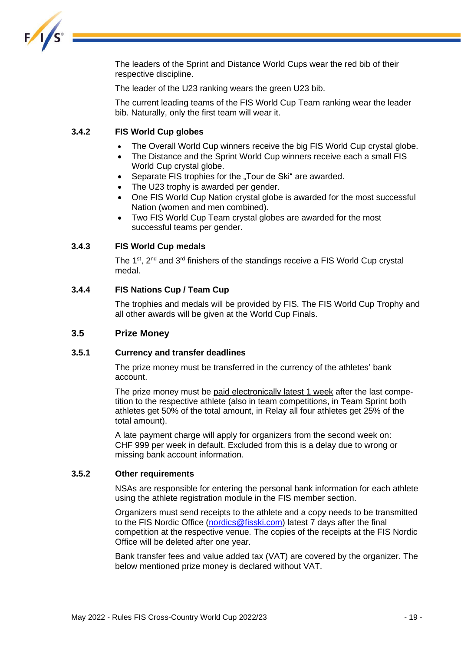

The leaders of the Sprint and Distance World Cups wear the red bib of their respective discipline.

The leader of the U23 ranking wears the green U23 bib.

The current leading teams of the FIS World Cup Team ranking wear the leader bib. Naturally, only the first team will wear it.

#### **3.4.2 FIS World Cup globes**

- The Overall World Cup winners receive the big FIS World Cup crystal globe.
- The Distance and the Sprint World Cup winners receive each a small FIS World Cup crystal globe.
- Separate FIS trophies for the "Tour de Ski" are awarded.
- The U23 trophy is awarded per gender.
- One FIS World Cup Nation crystal globe is awarded for the most successful Nation (women and men combined).
- Two FIS World Cup Team crystal globes are awarded for the most successful teams per gender.

#### **3.4.3 FIS World Cup medals**

The 1<sup>st</sup>, 2<sup>nd</sup> and 3<sup>rd</sup> finishers of the standings receive a FIS World Cup crystal medal.

#### **3.4.4 FIS Nations Cup / Team Cup**

The trophies and medals will be provided by FIS. The FIS World Cup Trophy and all other awards will be given at the World Cup Finals.

#### <span id="page-19-0"></span>**3.5 Prize Money**

#### **3.5.1 Currency and transfer deadlines**

The prize money must be transferred in the currency of the athletes' bank account.

The prize money must be paid electronically latest 1 week after the last competition to the respective athlete (also in team competitions, in Team Sprint both athletes get 50% of the total amount, in Relay all four athletes get 25% of the total amount).

A late payment charge will apply for organizers from the second week on: CHF 999 per week in default. Excluded from this is a delay due to wrong or missing bank account information.

#### **3.5.2 Other requirements**

NSAs are responsible for entering the personal bank information for each athlete using the athlete registration module in the FIS member section.

Organizers must send receipts to the athlete and a copy needs to be transmitted to the FIS Nordic Office [\(nordics@fisski.com\)](mailto:nordics@fisski.com) latest 7 days after the final competition at the respective venue. The copies of the receipts at the FIS Nordic Office will be deleted after one year.

Bank transfer fees and value added tax (VAT) are covered by the organizer. The below mentioned prize money is declared without VAT.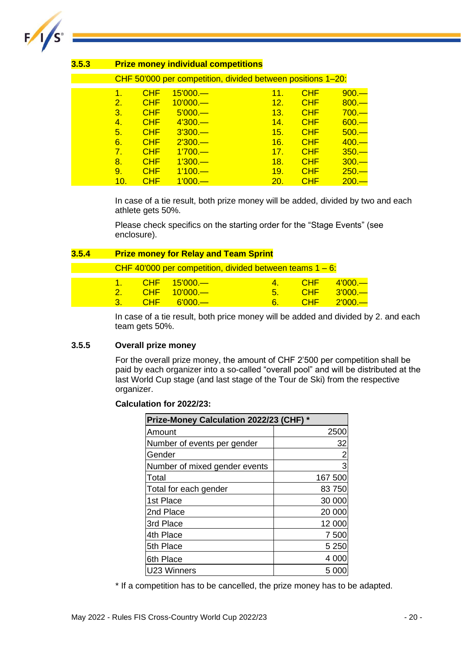

| 3.5.3 | <b>Prize money individual competitions</b> |            |            |                                                             |            |         |  |
|-------|--------------------------------------------|------------|------------|-------------------------------------------------------------|------------|---------|--|
|       |                                            |            |            | CHF 50'000 per competition, divided between positions 1-20: |            |         |  |
|       | 1.                                         | <b>CHF</b> | $15'000 -$ | 11.                                                         | <b>CHF</b> | $900 -$ |  |
|       | 2.                                         | <b>CHF</b> | $10'000$ . | 12.                                                         | <b>CHF</b> | $800 -$ |  |
|       | 3.                                         | <b>CHF</b> | $5'000 -$  | 13.                                                         | <b>CHF</b> | $700 -$ |  |
|       | 4.                                         | <b>CHF</b> | $4'300 -$  | 14.                                                         | <b>CHF</b> | $600 -$ |  |
|       | 5.                                         | <b>CHF</b> | $3'300 -$  | 15.                                                         | <b>CHF</b> | $500 -$ |  |
|       | 6.                                         | <b>CHF</b> | $2'300 -$  | 16.                                                         | <b>CHF</b> | $400 -$ |  |
|       | 7 <sup>1</sup>                             | <b>CHF</b> | $1'700 -$  | 17.                                                         | <b>CHF</b> | $350 -$ |  |
|       | 8.                                         | <b>CHF</b> | $1'300 -$  | 18.                                                         | <b>CHF</b> | $300 -$ |  |
|       | 9.                                         | <b>CHF</b> | $1'100 -$  | 19.                                                         | <b>CHF</b> | $250 -$ |  |
|       | 10.                                        | <b>CHF</b> | $1'000 -$  | 20.                                                         | <b>CHF</b> | $200 -$ |  |

In case of a tie result, both prize money will be added, divided by two and each athlete gets 50%.

Please check specifics on the starting order for the "Stage Events" (see enclosure).

| 3.5.4 |                                     | <b>Prize money for Relay and Team Sprint</b> |                                                     |                                                             |                           |                                     |  |
|-------|-------------------------------------|----------------------------------------------|-----------------------------------------------------|-------------------------------------------------------------|---------------------------|-------------------------------------|--|
|       |                                     |                                              |                                                     | CHF 40'000 per competition, divided between teams $1 - 6$ : |                           |                                     |  |
|       | $1 -$<br><u> 27</u><br>$\mathbf{R}$ | <b>CHF</b><br>CHE.                           | $\overline{CHF}$ 15'000 —<br>$10'000 -$<br>$6000 -$ | 5.<br>6.                                                    | CHF<br>CHE.<br><b>CHE</b> | $4'000 -$<br>$3'000 -$<br>$2'000 -$ |  |

In case of a tie result, both price money will be added and divided by 2. and each team gets 50%.

#### **3.5.5 Overall prize money**

For the overall prize money, the amount of CHF 2'500 per competition shall be paid by each organizer into a so-called "overall pool" and will be distributed at the last World Cup stage (and last stage of the Tour de Ski) from the respective organizer.

#### **Calculation for 2022/23:**

|                               | Prize-Money Calculation 2022/23 (CHF) * |  |  |  |  |  |
|-------------------------------|-----------------------------------------|--|--|--|--|--|
| Amount                        | 2500                                    |  |  |  |  |  |
| Number of events per gender   | 32                                      |  |  |  |  |  |
| Gender                        | $\overline{c}$                          |  |  |  |  |  |
| Number of mixed gender events | 3                                       |  |  |  |  |  |
| Total                         | 167 500                                 |  |  |  |  |  |
| Total for each gender         | 83750                                   |  |  |  |  |  |
| 1st Place                     | 30 000                                  |  |  |  |  |  |
| 2nd Place                     | 20 000                                  |  |  |  |  |  |
| 3rd Place                     | 12 000                                  |  |  |  |  |  |
| 4th Place                     | 7 500                                   |  |  |  |  |  |
| 5th Place                     | 5 2 5 0                                 |  |  |  |  |  |
| 6th Place                     | 4 000                                   |  |  |  |  |  |
| U23 Winners                   | 5 00                                    |  |  |  |  |  |

\* If a competition has to be cancelled, the prize money has to be adapted.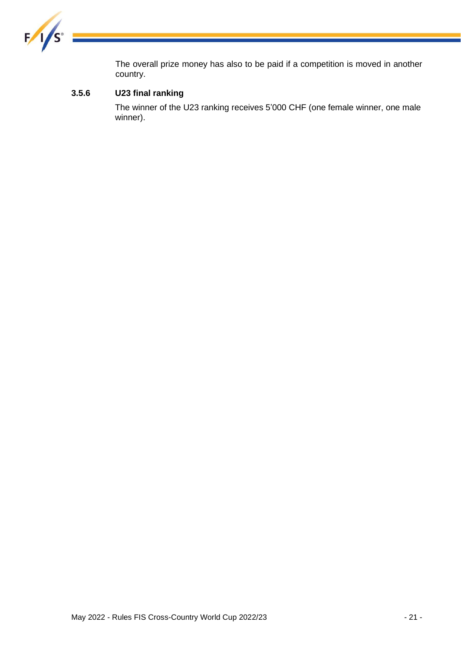

The overall prize money has also to be paid if a competition is moved in another country.

### **3.5.6 U23 final ranking**

The winner of the U23 ranking receives 5'000 CHF (one female winner, one male winner).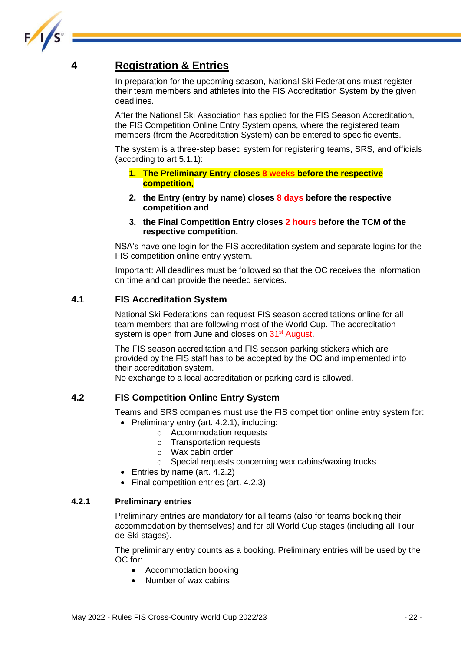

### <span id="page-22-0"></span>**4 Registration & Entries**

In preparation for the upcoming season, National Ski Federations must register their team members and athletes into the FIS Accreditation System by the given deadlines.

After the National Ski Association has applied for the FIS Season Accreditation, the FIS Competition Online Entry System opens, where the registered team members (from the Accreditation System) can be entered to specific events.

The system is a three-step based system for registering teams, SRS, and officials (according to art 5.1.1):

- **1. The Preliminary Entry closes 8 weeks before the respective competition,**
- **2. the Entry (entry by name) closes 8 days before the respective competition and**
- **3. the Final Competition Entry closes 2 hours before the TCM of the respective competition.**

NSA's have one login for the FIS accreditation system and separate logins for the FIS competition online entry yystem.

Important: All deadlines must be followed so that the OC receives the information on time and can provide the needed services.

#### <span id="page-22-1"></span>**4.1 FIS Accreditation System**

National Ski Federations can request FIS season accreditations online for all team members that are following most of the World Cup. The accreditation system is open from June and closes on 31<sup>st</sup> August.

The FIS season accreditation and FIS season parking stickers which are provided by the FIS staff has to be accepted by the OC and implemented into their accreditation system.

No exchange to a local accreditation or parking card is allowed.

#### <span id="page-22-2"></span>**4.2 FIS Competition Online Entry System**

Teams and SRS companies must use the FIS competition online entry system for:

- Preliminary entry (art. 4.2.1), including:
	- o Accommodation requests
	- o Transportation requests
	- o Wax cabin order
	- o Special requests concerning wax cabins/waxing trucks
- Entries by name (art. 4.2.2)
- Final competition entries (art. 4.2.3)

#### **4.2.1 Preliminary entries**

Preliminary entries are mandatory for all teams (also for teams booking their accommodation by themselves) and for all World Cup stages (including all Tour de Ski stages).

The preliminary entry counts as a booking. Preliminary entries will be used by the OC for:

- Accommodation booking
- Number of wax cabins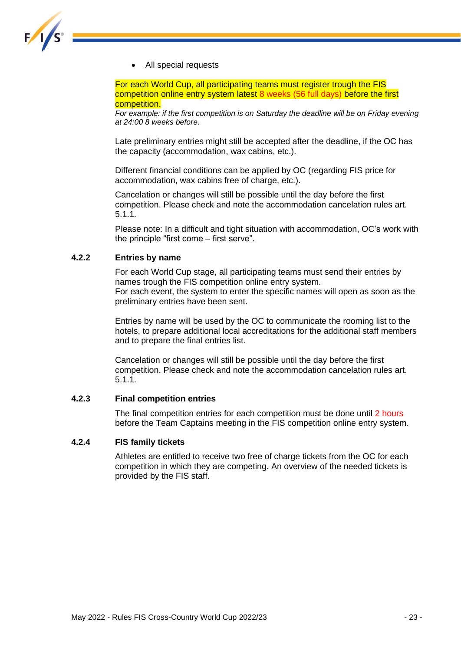

• All special requests

For each World Cup, all participating teams must register trough the FIS competition online entry system latest 8 weeks (56 full days) before the first competition.

*For example: if the first competition is on Saturday the deadline will be on Friday evening at 24:00 8 weeks before.*

Late preliminary entries might still be accepted after the deadline, if the OC has the capacity (accommodation, wax cabins, etc.).

Different financial conditions can be applied by OC (regarding FIS price for accommodation, wax cabins free of charge, etc.).

Cancelation or changes will still be possible until the day before the first competition. Please check and note the accommodation cancelation rules art. 5.1.1.

Please note: In a difficult and tight situation with accommodation, OC's work with the principle "first come – first serve".

#### **4.2.2 Entries by name**

For each World Cup stage, all participating teams must send their entries by names trough the FIS competition online entry system. For each event, the system to enter the specific names will open as soon as the preliminary entries have been sent.

Entries by name will be used by the OC to communicate the rooming list to the hotels, to prepare additional local accreditations for the additional staff members and to prepare the final entries list.

Cancelation or changes will still be possible until the day before the first competition. Please check and note the accommodation cancelation rules art. 5.1.1.

#### **4.2.3 Final competition entries**

The final competition entries for each competition must be done until 2 hours before the Team Captains meeting in the FIS competition online entry system.

#### **4.2.4 FIS family tickets**

Athletes are entitled to receive two free of charge tickets from the OC for each competition in which they are competing. An overview of the needed tickets is provided by the FIS staff.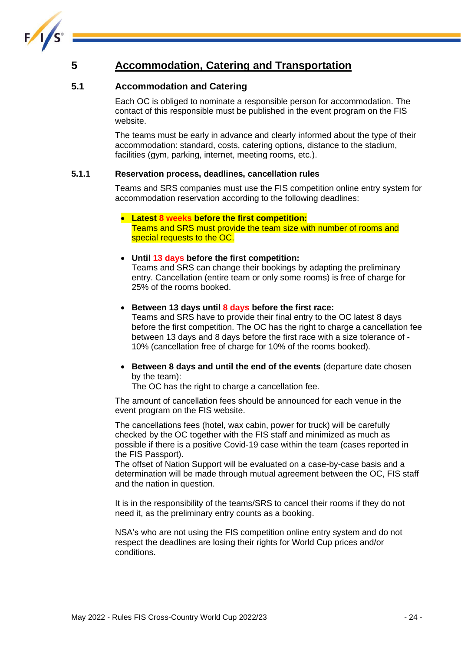

### <span id="page-24-0"></span>**5 Accommodation, Catering and Transportation**

### <span id="page-24-1"></span>**5.1 Accommodation and Catering**

Each OC is obliged to nominate a responsible person for accommodation. The contact of this responsible must be published in the event program on the FIS website.

The teams must be early in advance and clearly informed about the type of their accommodation: standard, costs, catering options, distance to the stadium, facilities (gym, parking, internet, meeting rooms, etc.).

#### **5.1.1 Reservation process, deadlines, cancellation rules**

Teams and SRS companies must use the FIS competition online entry system for accommodation reservation according to the following deadlines:

#### • **Latest 8 weeks before the first competition:** Teams and SRS must provide the team size with number of rooms and special requests to the OC.

#### • **Until 13 days before the first competition:**

Teams and SRS can change their bookings by adapting the preliminary entry. Cancellation (entire team or only some rooms) is free of charge for 25% of the rooms booked.

#### • **Between 13 days until 8 days before the first race:**

Teams and SRS have to provide their final entry to the OC latest 8 days before the first competition. The OC has the right to charge a cancellation fee between 13 days and 8 days before the first race with a size tolerance of - 10% (cancellation free of charge for 10% of the rooms booked).

• **Between 8 days and until the end of the events** (departure date chosen by the team):

The OC has the right to charge a cancellation fee.

The amount of cancellation fees should be announced for each venue in the event program on the FIS website.

The cancellations fees (hotel, wax cabin, power for truck) will be carefully checked by the OC together with the FIS staff and minimized as much as possible if there is a positive Covid-19 case within the team (cases reported in the FIS Passport).

The offset of Nation Support will be evaluated on a case-by-case basis and a determination will be made through mutual agreement between the OC, FIS staff and the nation in question.

It is in the responsibility of the teams/SRS to cancel their rooms if they do not need it, as the preliminary entry counts as a booking.

NSA's who are not using the FIS competition online entry system and do not respect the deadlines are losing their rights for World Cup prices and/or conditions.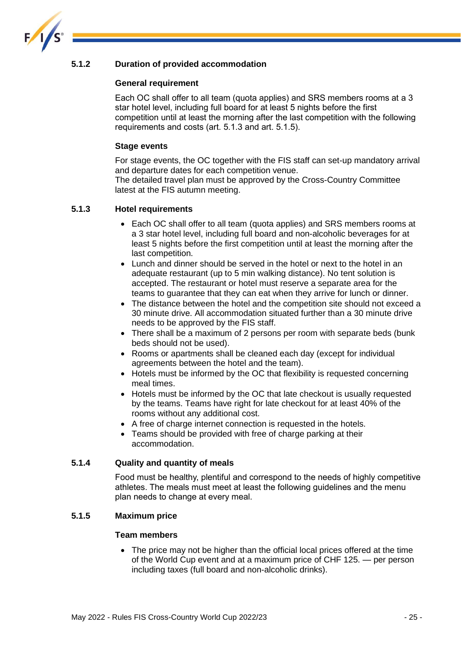

#### **5.1.2 Duration of provided accommodation**

#### **General requirement**

Each OC shall offer to all team (quota applies) and SRS members rooms at a 3 star hotel level, including full board for at least 5 nights before the first competition until at least the morning after the last competition with the following requirements and costs (art. 5.1.3 and art. 5.1.5).

#### **Stage events**

For stage events, the OC together with the FIS staff can set-up mandatory arrival and departure dates for each competition venue.

The detailed travel plan must be approved by the Cross-Country Committee latest at the FIS autumn meeting.

#### **5.1.3 Hotel requirements**

- Each OC shall offer to all team (quota applies) and SRS members rooms at a 3 star hotel level, including full board and non-alcoholic beverages for at least 5 nights before the first competition until at least the morning after the last competition.
- Lunch and dinner should be served in the hotel or next to the hotel in an adequate restaurant (up to 5 min walking distance). No tent solution is accepted. The restaurant or hotel must reserve a separate area for the teams to guarantee that they can eat when they arrive for lunch or dinner.
- The distance between the hotel and the competition site should not exceed a 30 minute drive. All accommodation situated further than a 30 minute drive needs to be approved by the FIS staff.
- There shall be a maximum of 2 persons per room with separate beds (bunk beds should not be used).
- Rooms or apartments shall be cleaned each day (except for individual agreements between the hotel and the team).
- Hotels must be informed by the OC that flexibility is requested concerning meal times.
- Hotels must be informed by the OC that late checkout is usually requested by the teams. Teams have right for late checkout for at least 40% of the rooms without any additional cost.
- A free of charge internet connection is requested in the hotels.
- Teams should be provided with free of charge parking at their accommodation.

#### **5.1.4 Quality and quantity of meals**

Food must be healthy, plentiful and correspond to the needs of highly competitive athletes. The meals must meet at least the following guidelines and the menu plan needs to change at every meal.

#### **5.1.5 Maximum price**

#### **Team members**

• The price may not be higher than the official local prices offered at the time of the World Cup event and at a maximum price of CHF 125. — per person including taxes (full board and non-alcoholic drinks).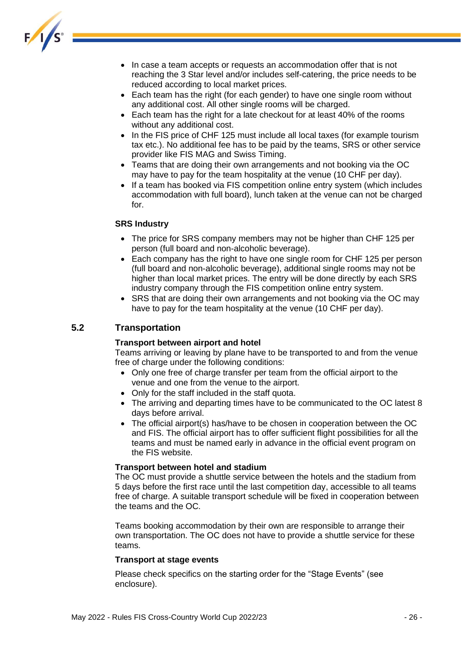

- In case a team accepts or requests an accommodation offer that is not reaching the 3 Star level and/or includes self-catering, the price needs to be reduced according to local market prices.
- Each team has the right (for each gender) to have one single room without any additional cost. All other single rooms will be charged.
- Each team has the right for a late checkout for at least 40% of the rooms without any additional cost.
- In the FIS price of CHF 125 must include all local taxes (for example tourism tax etc.). No additional fee has to be paid by the teams, SRS or other service provider like FIS MAG and Swiss Timing.
- Teams that are doing their own arrangements and not booking via the OC may have to pay for the team hospitality at the venue (10 CHF per day).
- If a team has booked via FIS competition online entry system (which includes accommodation with full board), lunch taken at the venue can not be charged for.

#### **SRS Industry**

- The price for SRS company members may not be higher than CHF 125 per person (full board and non-alcoholic beverage).
- Each company has the right to have one single room for CHF 125 per person (full board and non-alcoholic beverage), additional single rooms may not be higher than local market prices. The entry will be done directly by each SRS industry company through the FIS competition online entry system.
- SRS that are doing their own arrangements and not booking via the OC may have to pay for the team hospitality at the venue (10 CHF per day).

#### <span id="page-26-0"></span>**5.2 Transportation**

#### **Transport between airport and hotel**

Teams arriving or leaving by plane have to be transported to and from the venue free of charge under the following conditions:

- Only one free of charge transfer per team from the official airport to the venue and one from the venue to the airport.
- Only for the staff included in the staff quota.
- The arriving and departing times have to be communicated to the OC latest 8 days before arrival.
- The official airport(s) has/have to be chosen in cooperation between the OC and FIS. The official airport has to offer sufficient flight possibilities for all the teams and must be named early in advance in the official event program on the FIS website.

#### **Transport between hotel and stadium**

The OC must provide a shuttle service between the hotels and the stadium from 5 days before the first race until the last competition day, accessible to all teams free of charge. A suitable transport schedule will be fixed in cooperation between the teams and the OC.

Teams booking accommodation by their own are responsible to arrange their own transportation. The OC does not have to provide a shuttle service for these teams.

#### **Transport at stage events**

Please check specifics on the starting order for the "Stage Events" (see enclosure).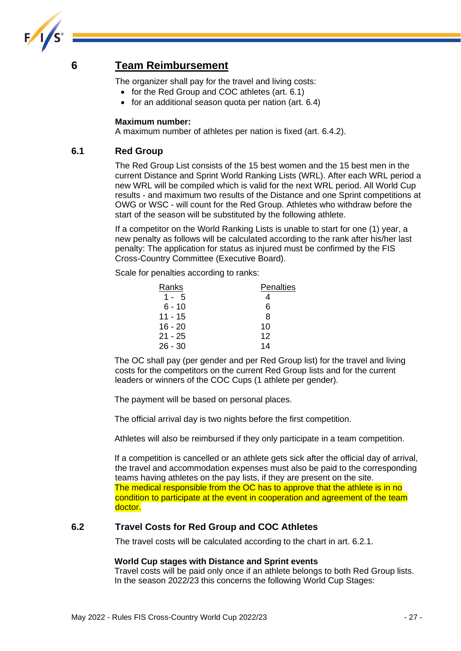

### <span id="page-27-0"></span>**6 Team Reimbursement**

The organizer shall pay for the travel and living costs:

- for the Red Group and COC athletes (art. 6.1)
- for an additional season quota per nation (art. 6.4)

#### **Maximum number:**

A maximum number of athletes per nation is fixed (art. 6.4.2).

#### <span id="page-27-1"></span>**6.1 Red Group**

The Red Group List consists of the 15 best women and the 15 best men in the current Distance and Sprint World Ranking Lists (WRL). After each WRL period a new WRL will be compiled which is valid for the next WRL period. All World Cup results - and maximum two results of the Distance and one Sprint competitions at OWG or WSC - will count for the Red Group. Athletes who withdraw before the start of the season will be substituted by the following athlete.

If a competitor on the World Ranking Lists is unable to start for one (1) year, a new penalty as follows will be calculated according to the rank after his/her last penalty: The application for status as injured must be confirmed by the FIS Cross-Country Committee (Executive Board).

Scale for penalties according to ranks:

| Ranks     | <b>Penalties</b> |
|-----------|------------------|
| $1 - 5$   | 4                |
| $6 - 10$  | 6                |
| 11 - 15   | 8                |
| $16 - 20$ | 10               |
| $21 - 25$ | 12               |
| $26 - 30$ | 14               |

The OC shall pay (per gender and per Red Group list) for the travel and living costs for the competitors on the current Red Group lists and for the current leaders or winners of the COC Cups (1 athlete per gender).

The payment will be based on personal places.

The official arrival day is two nights before the first competition.

Athletes will also be reimbursed if they only participate in a team competition.

If a competition is cancelled or an athlete gets sick after the official day of arrival, the travel and accommodation expenses must also be paid to the corresponding teams having athletes on the pay lists, if they are present on the site. The medical responsible from the OC has to approve that the athlete is in no condition to participate at the event in cooperation and agreement of the team doctor.

#### <span id="page-27-2"></span>**6.2 Travel Costs for Red Group and COC Athletes**

The travel costs will be calculated according to the chart in art. 6.2.1.

#### **World Cup stages with Distance and Sprint events**

Travel costs will be paid only once if an athlete belongs to both Red Group lists. In the season 2022/23 this concerns the following World Cup Stages: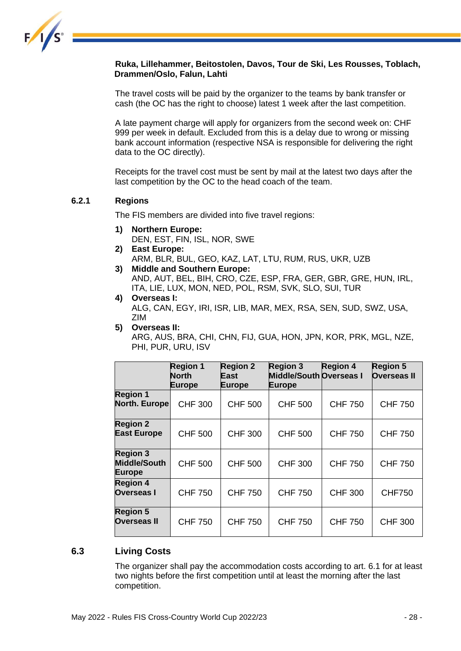

#### **Ruka, Lillehammer, Beitostolen, Davos, Tour de Ski, Les Rousses, Toblach, Drammen/Oslo, Falun, Lahti**

The travel costs will be paid by the organizer to the teams by bank transfer or cash (the OC has the right to choose) latest 1 week after the last competition.

A late payment charge will apply for organizers from the second week on: CHF 999 per week in default. Excluded from this is a delay due to wrong or missing bank account information (respective NSA is responsible for delivering the right data to the OC directly).

Receipts for the travel cost must be sent by mail at the latest two days after the last competition by the OC to the head coach of the team.

#### **6.2.1 Regions**

The FIS members are divided into five travel regions:

- **1) Northern Europe:**  DEN, EST, FIN, ISL, NOR, SWE
- **2) East Europe:**
- ARM, BLR, BUL, GEO, KAZ, LAT, LTU, RUM, RUS, UKR, UZB **3) Middle and Southern Europe:** 
	- AND, AUT, BEL, BIH, CRO, CZE, ESP, FRA, GER, GBR, GRE, HUN, IRL, ITA, LIE, LUX, MON, NED, POL, RSM, SVK, SLO, SUI, TUR
- **4) Overseas I:**  ALG, CAN, EGY, IRI, ISR, LIB, MAR, MEX, RSA, SEN, SUD, SWZ, USA, ZIM
- **5) Overseas II:**  ARG, AUS, BRA, CHI, CHN, FIJ, GUA, HON, JPN, KOR, PRK, MGL, NZE, PHI, PUR, URU, ISV

|                                                         | <b>Region 1</b><br><b>North</b><br><b>Europe</b> | <b>Region 2</b><br>East<br>Europe | <b>Region 3</b><br><b>Middle/South Overseas I</b><br><b>Europe</b> | <b>Region 4</b> | <b>Region 5</b><br><b>Overseas II</b> |
|---------------------------------------------------------|--------------------------------------------------|-----------------------------------|--------------------------------------------------------------------|-----------------|---------------------------------------|
| <b>Region 1</b><br>North. Europe                        | <b>CHF 300</b>                                   | <b>CHF 500</b>                    | <b>CHF 500</b>                                                     | <b>CHF 750</b>  | <b>CHF 750</b>                        |
| <b>Region 2</b><br><b>East Europe</b>                   | <b>CHF 500</b>                                   | <b>CHF 300</b>                    | <b>CHF 500</b>                                                     | <b>CHF 750</b>  | <b>CHF 750</b>                        |
| <b>Region 3</b><br><b>Middle/South</b><br><b>Europe</b> | <b>CHF 500</b>                                   | <b>CHF 500</b>                    | <b>CHF 300</b>                                                     | <b>CHF 750</b>  | <b>CHF 750</b>                        |
| <b>Region 4</b><br><b>Overseas I</b>                    | <b>CHF 750</b>                                   | <b>CHF 750</b>                    | <b>CHF 750</b>                                                     | <b>CHF 300</b>  | <b>CHF750</b>                         |
| <b>Region 5</b><br><b>Overseas II</b>                   | <b>CHF 750</b>                                   | <b>CHF 750</b>                    | <b>CHF 750</b>                                                     | <b>CHF 750</b>  | <b>CHF 300</b>                        |

### <span id="page-28-0"></span>**6.3 Living Costs**

The organizer shall pay the accommodation costs according to art. 6.1 for at least two nights before the first competition until at least the morning after the last competition.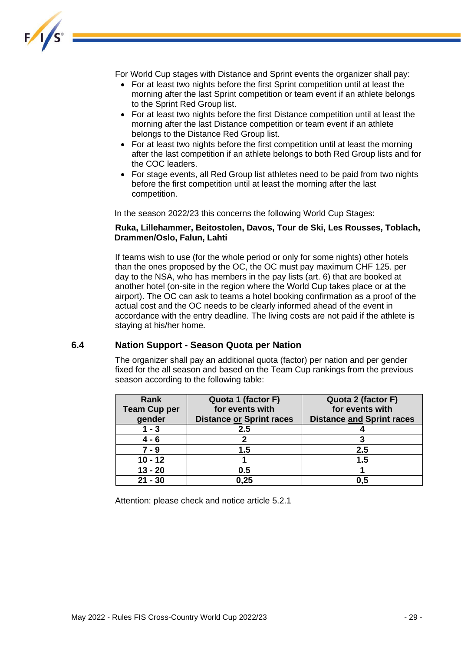

For World Cup stages with Distance and Sprint events the organizer shall pay:

- For at least two nights before the first Sprint competition until at least the morning after the last Sprint competition or team event if an athlete belongs to the Sprint Red Group list.
- For at least two nights before the first Distance competition until at least the morning after the last Distance competition or team event if an athlete belongs to the Distance Red Group list.
- For at least two nights before the first competition until at least the morning after the last competition if an athlete belongs to both Red Group lists and for the COC leaders.
- For stage events, all Red Group list athletes need to be paid from two nights before the first competition until at least the morning after the last competition.

In the season 2022/23 this concerns the following World Cup Stages:

#### **Ruka, Lillehammer, Beitostolen, Davos, Tour de Ski, Les Rousses, Toblach, Drammen/Oslo, Falun, Lahti**

If teams wish to use (for the whole period or only for some nights) other hotels than the ones proposed by the OC, the OC must pay maximum CHF 125. per day to the NSA, who has members in the pay lists (art. 6) that are booked at another hotel (on-site in the region where the World Cup takes place or at the airport). The OC can ask to teams a hotel booking confirmation as a proof of the actual cost and the OC needs to be clearly informed ahead of the event in accordance with the entry deadline. The living costs are not paid if the athlete is staying at his/her home.

#### <span id="page-29-0"></span>**6.4 Nation Support - Season Quota per Nation**

The organizer shall pay an additional quota (factor) per nation and per gender fixed for the all season and based on the Team Cup rankings from the previous season according to the following table:

| Rank                | Quota 1 (factor F)       | Quota 2 (factor F)               |
|---------------------|--------------------------|----------------------------------|
| <b>Team Cup per</b> | for events with          | for events with                  |
| gender              | Distance or Sprint races | <b>Distance and Sprint races</b> |
| $1 - 3$             | 2.5                      |                                  |
| $4 - 6$             |                          |                                  |
| $7 - 9$             | 1.5                      | $2.5\,$                          |
| $10 - 12$           |                          | 1.5                              |
| $13 - 20$           | 0.5                      |                                  |
| $21 - 30$           | 0,25                     | 0.5                              |

Attention: please check and notice article 5.2.1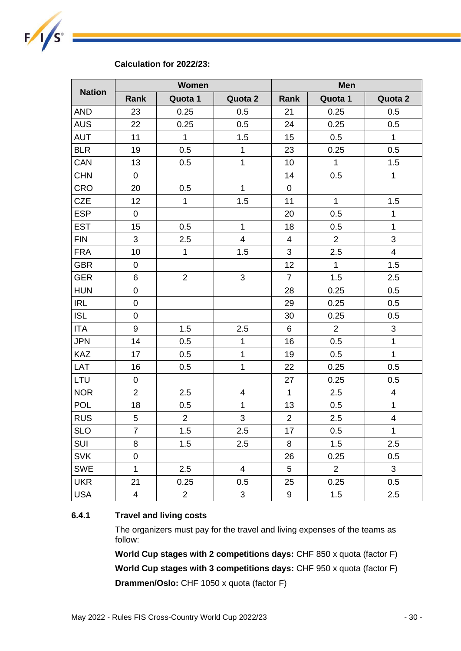

#### **Calculation for 2022/23:**

|               | <b>Women</b>            |                |                         | <b>Men</b>              |                |                         |
|---------------|-------------------------|----------------|-------------------------|-------------------------|----------------|-------------------------|
| <b>Nation</b> | Rank                    | Quota 1        | Quota 2                 | Rank                    | Quota 1        | Quota 2                 |
| <b>AND</b>    | 23                      | 0.25           | 0.5                     | 21                      | 0.25           | 0.5                     |
| <b>AUS</b>    | 22                      | 0.25           | 0.5                     | 24                      | 0.25           | 0.5                     |
| <b>AUT</b>    | 11                      | $\mathbf{1}$   | 1.5                     | 15                      | 0.5            | $\mathbf 1$             |
| <b>BLR</b>    | 19                      | 0.5            | $\mathbf{1}$            | 23                      | 0.25           | 0.5                     |
| CAN           | 13                      | 0.5            | $\mathbf 1$             | 10                      | $\mathbf{1}$   | 1.5                     |
| <b>CHN</b>    | 0                       |                |                         | 14                      | 0.5            | $\mathbf{1}$            |
| CRO           | 20                      | 0.5            | $\mathbf{1}$            | 0                       |                |                         |
| <b>CZE</b>    | 12                      | $\mathbf 1$    | 1.5                     | 11                      | $\mathbf 1$    | 1.5                     |
| <b>ESP</b>    | $\mathbf 0$             |                |                         | 20                      | 0.5            | $\mathbf 1$             |
| <b>EST</b>    | 15                      | 0.5            | $\mathbf 1$             | 18                      | 0.5            | $\mathbf{1}$            |
| <b>FIN</b>    | $\mathfrak{S}$          | 2.5            | 4                       | $\overline{\mathbf{4}}$ | $\overline{2}$ | 3                       |
| <b>FRA</b>    | 10                      | $\mathbf{1}$   | 1.5                     | 3                       | 2.5            | $\overline{\mathbf{4}}$ |
| <b>GBR</b>    | $\pmb{0}$               |                |                         | 12                      | $\mathbf{1}$   | 1.5                     |
| <b>GER</b>    | 6                       | $\overline{2}$ | $\sqrt{3}$              | $\overline{7}$          | 1.5            | 2.5                     |
| <b>HUN</b>    | $\boldsymbol{0}$        |                |                         | 28                      | 0.25           | 0.5                     |
| <b>IRL</b>    | $\boldsymbol{0}$        |                |                         | 29                      | 0.25           | 0.5                     |
| <b>ISL</b>    | $\pmb{0}$               |                |                         | 30                      | 0.25           | 0.5                     |
| <b>ITA</b>    | $\boldsymbol{9}$        | 1.5            | 2.5                     | 6                       | $\overline{2}$ | 3                       |
| <b>JPN</b>    | 14                      | 0.5            | $\overline{1}$          | 16                      | 0.5            | $\mathbf{1}$            |
| <b>KAZ</b>    | 17                      | 0.5            | $\mathbf{1}$            | 19                      | 0.5            | $\mathbf{1}$            |
| LAT           | 16                      | 0.5            | $\mathbf 1$             | 22                      | 0.25           | 0.5                     |
| LTU           | 0                       |                |                         | 27                      | 0.25           | 0.5                     |
| <b>NOR</b>    | $\overline{2}$          | 2.5            | $\overline{\mathbf{4}}$ | $\mathbf{1}$            | 2.5            | $\overline{\mathbf{4}}$ |
| POL           | 18                      | 0.5            | $\mathbf 1$             | 13                      | 0.5            | $\mathbf 1$             |
| <b>RUS</b>    | 5                       | $\overline{2}$ | 3                       | $\overline{2}$          | 2.5            | $\overline{\mathbf{4}}$ |
| <b>SLO</b>    | $\overline{7}$          | 1.5            | 2.5                     | 17                      | 0.5            | $\mathbf 1$             |
| SUI           | 8                       | 1.5            | 2.5                     | 8                       | 1.5            | 2.5                     |
| <b>SVK</b>    | $\boldsymbol{0}$        |                |                         | 26                      | 0.25           | 0.5                     |
| <b>SWE</b>    | $\mathbf{1}$            | 2.5            | $\overline{\mathbf{4}}$ | 5                       | $\overline{2}$ | 3                       |
| <b>UKR</b>    | 21                      | 0.25           | 0.5                     | 25                      | 0.25           | 0.5                     |
| <b>USA</b>    | $\overline{\mathbf{4}}$ | $\overline{2}$ | 3                       | 9                       | 1.5            | 2.5                     |

#### **6.4.1 Travel and living costs**

The organizers must pay for the travel and living expenses of the teams as follow:

**World Cup stages with 2 competitions days:** CHF 850 x quota (factor F) **World Cup stages with 3 competitions days:** CHF 950 x quota (factor F) **Drammen/Oslo:** CHF 1050 x quota (factor F)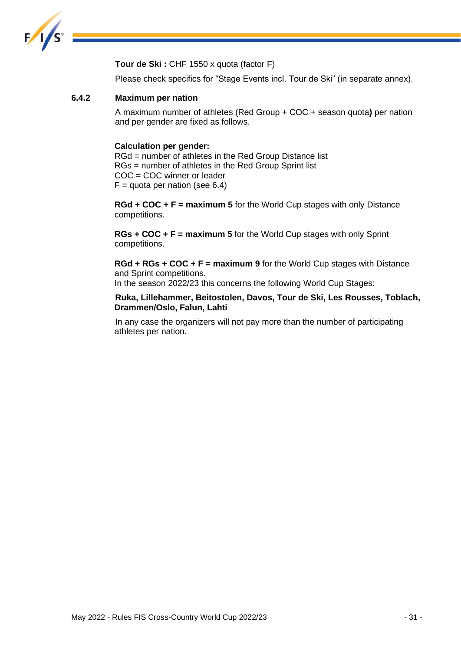

**Tour de Ski :** CHF 1550 x quota (factor F)

Please check specifics for "Stage Events incl. Tour de Ski" (in separate annex).

#### **6.4.2 Maximum per nation**

A maximum number of athletes (Red Group + COC + season quota**)** per nation and per gender are fixed as follows.

#### **Calculation per gender:**

RGd = number of athletes in the Red Group Distance list RGs = number of athletes in the Red Group Sprint list COC = COC winner or leader  $F =$  quota per nation (see 6.4)

**RGd + COC + F = maximum 5** for the World Cup stages with only Distance competitions.

**RGs + COC + F = maximum 5** for the World Cup stages with only Sprint competitions.

**RGd + RGs + COC + F = maximum 9** for the World Cup stages with Distance and Sprint competitions.

In the season 2022/23 this concerns the following World Cup Stages:

**Ruka, Lillehammer, Beitostolen, Davos, Tour de Ski, Les Rousses, Toblach, Drammen/Oslo, Falun, Lahti**

In any case the organizers will not pay more than the number of participating athletes per nation.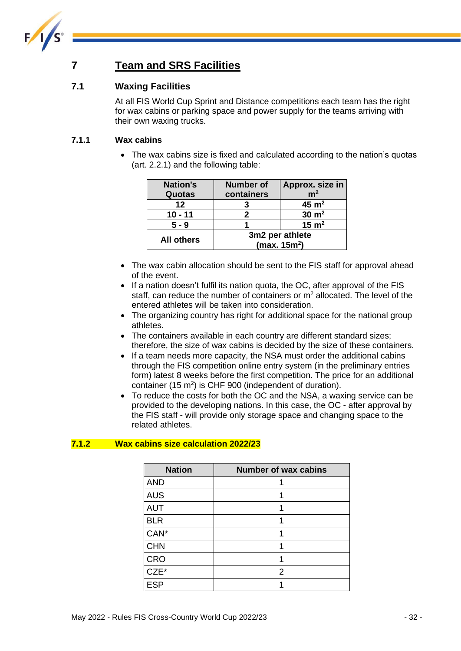

### <span id="page-32-0"></span>**7 Team and SRS Facilities**

### <span id="page-32-1"></span>**7.1 Waxing Facilities**

At all FIS World Cup Sprint and Distance competitions each team has the right for wax cabins or parking space and power supply for the teams arriving with their own waxing trucks.

#### **7.1.1 Wax cabins**

• The wax cabins size is fixed and calculated according to the nation's quotas (art. 2.2.1) and the following table:

| <b>Nation's</b>   | <b>Number of</b> | Approx. size in  |  |
|-------------------|------------------|------------------|--|
| Quotas            | containers       | m <sup>2</sup>   |  |
| $12 \,$           |                  | $45 \text{ m}^2$ |  |
| $10 - 11$         |                  | $30 \text{ m}^2$ |  |
| $5 - 9$           |                  | $15 \text{ m}^2$ |  |
| <b>All others</b> | 3m2 per athlete  |                  |  |
|                   | (max. $15m2$ )   |                  |  |

- The wax cabin allocation should be sent to the FIS staff for approval ahead of the event.
- If a nation doesn't fulfil its nation quota, the OC, after approval of the FIS staff, can reduce the number of containers or  $m<sup>2</sup>$  allocated. The level of the entered athletes will be taken into consideration.
- The organizing country has right for additional space for the national group athletes.
- The containers available in each country are different standard sizes; therefore, the size of wax cabins is decided by the size of these containers.
- If a team needs more capacity, the NSA must order the additional cabins through the FIS competition online entry system (in the preliminary entries form) latest 8 weeks before the first competition. The price for an additional container (15  $m^2$ ) is CHF 900 (independent of duration).
- To reduce the costs for both the OC and the NSA, a waxing service can be provided to the developing nations. In this case, the OC - after approval by the FIS staff - will provide only storage space and changing space to the related athletes.

#### **7.1.2 Wax cabins size calculation 2022/23**

| <b>Nation</b> | <b>Number of wax cabins</b> |
|---------------|-----------------------------|
| <b>AND</b>    |                             |
| <b>AUS</b>    |                             |
| <b>AUT</b>    |                             |
| <b>BLR</b>    |                             |
| CAN*          |                             |
| <b>CHN</b>    |                             |
| <b>CRO</b>    |                             |
| CZE*          | 2                           |
| <b>ESP</b>    |                             |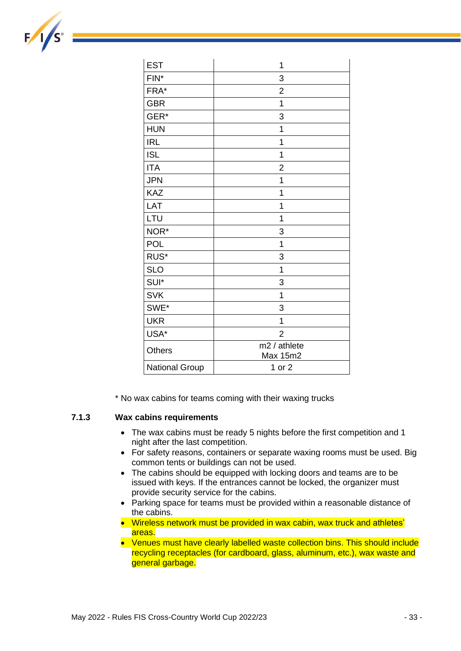| <b>EST</b>            | 1                        |
|-----------------------|--------------------------|
| FIN*                  | 3                        |
| FRA*                  | $\overline{2}$           |
| <b>GBR</b>            | 1                        |
| GER*                  | 3                        |
| <b>HUN</b>            | 1                        |
| <b>IRL</b>            | 1                        |
| <b>ISL</b>            | 1                        |
| <b>ITA</b>            | $\overline{2}$           |
| <b>JPN</b>            | 1                        |
| KAZ                   | 1                        |
| LAT                   | 1                        |
| LTU                   | 1                        |
| NOR*                  | 3                        |
| <b>POL</b>            | 1                        |
| RUS*                  | 3                        |
| <b>SLO</b>            | 1                        |
| SUI*                  | 3                        |
| <b>SVK</b>            | 1                        |
| SWE*                  | 3                        |
| <b>UKR</b>            | 1                        |
| USA*                  | $\overline{2}$           |
| <b>Others</b>         | m2 / athlete<br>Max 15m2 |
| <b>National Group</b> | 1 or 2                   |

\* No wax cabins for teams coming with their waxing trucks

#### **7.1.3 Wax cabins requirements**

- The wax cabins must be ready 5 nights before the first competition and 1 night after the last competition.
- For safety reasons, containers or separate waxing rooms must be used. Big common tents or buildings can not be used.
- The cabins should be equipped with locking doors and teams are to be issued with keys. If the entrances cannot be locked, the organizer must provide security service for the cabins.
- Parking space for teams must be provided within a reasonable distance of the cabins.
- Wireless network must be provided in wax cabin, wax truck and athletes' areas.
- Venues must have clearly labelled waste collection bins. This should include recycling receptacles (for cardboard, glass, aluminum, etc.), wax waste and general garbage.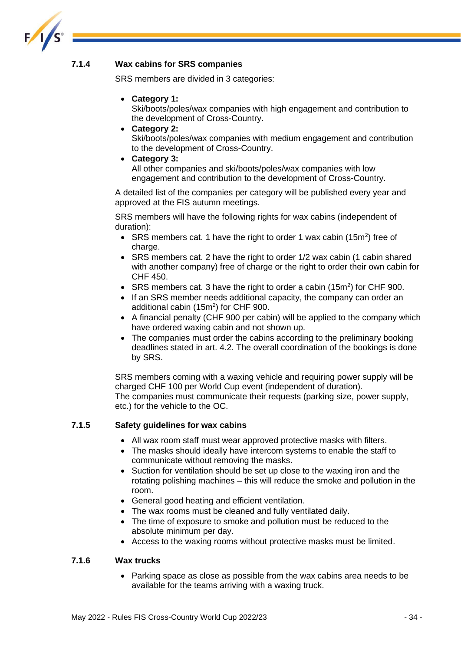

#### **7.1.4 Wax cabins for SRS companies**

SRS members are divided in 3 categories:

• **Category 1:**

Ski/boots/poles/wax companies with high engagement and contribution to the development of Cross-Country.

• **Category 2:** 

Ski/boots/poles/wax companies with medium engagement and contribution to the development of Cross-Country.

• **Category 3:** 

All other companies and ski/boots/poles/wax companies with low engagement and contribution to the development of Cross-Country.

A detailed list of the companies per category will be published every year and approved at the FIS autumn meetings.

SRS members will have the following rights for wax cabins (independent of duration):

- SRS members cat. 1 have the right to order 1 wax cabin  $(15m^2)$  free of charge.
- SRS members cat. 2 have the right to order 1/2 wax cabin (1 cabin shared with another company) free of charge or the right to order their own cabin for CHF 450.
- SRS members cat. 3 have the right to order a cabin (15m<sup>2</sup>) for CHF 900.
- If an SRS member needs additional capacity, the company can order an additional cabin  $(15m^2)$  for CHF 900.
- A financial penalty (CHF 900 per cabin) will be applied to the company which have ordered waxing cabin and not shown up.
- The companies must order the cabins according to the preliminary booking deadlines stated in art. 4.2. The overall coordination of the bookings is done by SRS.

SRS members coming with a waxing vehicle and requiring power supply will be charged CHF 100 per World Cup event (independent of duration). The companies must communicate their requests (parking size, power supply, etc.) for the vehicle to the OC.

#### **7.1.5 Safety guidelines for wax cabins**

- All wax room staff must wear approved protective masks with filters.
- The masks should ideally have intercom systems to enable the staff to communicate without removing the masks.
- Suction for ventilation should be set up close to the waxing iron and the rotating polishing machines – this will reduce the smoke and pollution in the room.
- General good heating and efficient ventilation.
- The wax rooms must be cleaned and fully ventilated daily.
- The time of exposure to smoke and pollution must be reduced to the absolute minimum per day.
- Access to the waxing rooms without protective masks must be limited.

#### **7.1.6 Wax trucks**

• Parking space as close as possible from the wax cabins area needs to be available for the teams arriving with a waxing truck.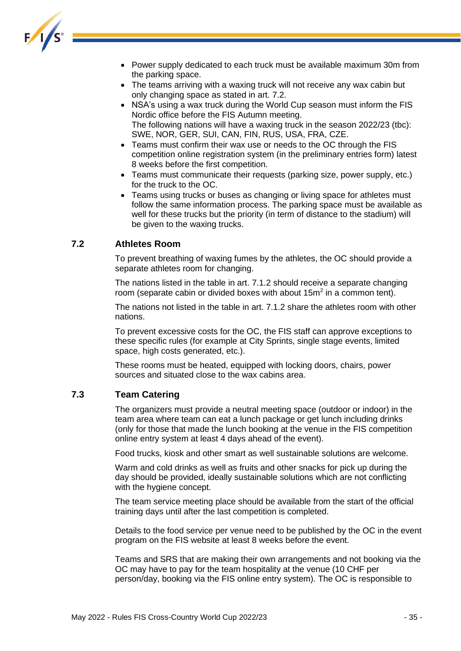

- Power supply dedicated to each truck must be available maximum 30m from the parking space.
- The teams arriving with a waxing truck will not receive any wax cabin but only changing space as stated in art. 7.2.
- NSA's using a wax truck during the World Cup season must inform the FIS Nordic office before the FIS Autumn meeting. The following nations will have a waxing truck in the season 2022/23 (tbc): SWE, NOR, GER, SUI, CAN, FIN, RUS, USA, FRA, CZE.
- Teams must confirm their wax use or needs to the OC through the FIS competition online registration system (in the preliminary entries form) latest 8 weeks before the first competition.
- Teams must communicate their requests (parking size, power supply, etc.) for the truck to the OC.
- Teams using trucks or buses as changing or living space for athletes must follow the same information process. The parking space must be available as well for these trucks but the priority (in term of distance to the stadium) will be given to the waxing trucks.

#### <span id="page-35-0"></span>**7.2 Athletes Room**

To prevent breathing of waxing fumes by the athletes, the OC should provide a separate athletes room for changing.

The nations listed in the table in art. 7.1.2 should receive a separate changing room (separate cabin or divided boxes with about  $15m^2$  in a common tent).

The nations not listed in the table in art. 7.1.2 share the athletes room with other nations.

To prevent excessive costs for the OC, the FIS staff can approve exceptions to these specific rules (for example at City Sprints, single stage events, limited space, high costs generated, etc.).

These rooms must be heated, equipped with locking doors, chairs, power sources and situated close to the wax cabins area.

#### <span id="page-35-1"></span>**7.3 Team Catering**

The organizers must provide a neutral meeting space (outdoor or indoor) in the team area where team can eat a lunch package or get lunch including drinks (only for those that made the lunch booking at the venue in the FIS competition online entry system at least 4 days ahead of the event).

Food trucks, kiosk and other smart as well sustainable solutions are welcome.

Warm and cold drinks as well as fruits and other snacks for pick up during the day should be provided, ideally sustainable solutions which are not conflicting with the hygiene concept.

The team service meeting place should be available from the start of the official training days until after the last competition is completed.

Details to the food service per venue need to be published by the OC in the event program on the FIS website at least 8 weeks before the event.

Teams and SRS that are making their own arrangements and not booking via the OC may have to pay for the team hospitality at the venue (10 CHF per person/day, booking via the FIS online entry system). The OC is responsible to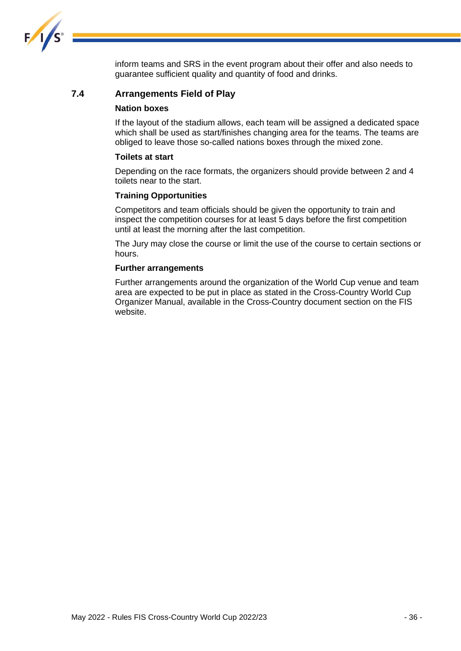

inform teams and SRS in the event program about their offer and also needs to guarantee sufficient quality and quantity of food and drinks.

#### <span id="page-36-0"></span>**7.4 Arrangements Field of Play**

#### **Nation boxes**

If the layout of the stadium allows, each team will be assigned a dedicated space which shall be used as start/finishes changing area for the teams. The teams are obliged to leave those so-called nations boxes through the mixed zone.

#### **Toilets at start**

Depending on the race formats, the organizers should provide between 2 and 4 toilets near to the start.

#### **Training Opportunities**

Competitors and team officials should be given the opportunity to train and inspect the competition courses for at least 5 days before the first competition until at least the morning after the last competition.

The Jury may close the course or limit the use of the course to certain sections or hours.

#### **Further arrangements**

Further arrangements around the organization of the World Cup venue and team area are expected to be put in place as stated in the Cross-Country World Cup Organizer Manual, available in the Cross-Country document section on the FIS website.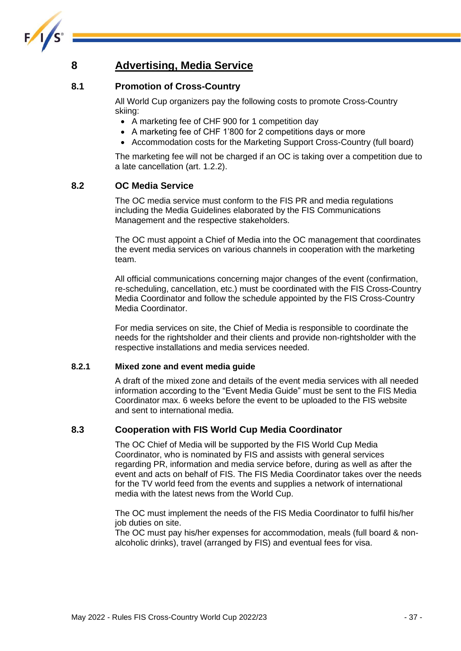

### <span id="page-37-0"></span>**8 Advertising, Media Service**

#### <span id="page-37-1"></span>**8.1 Promotion of Cross-Country**

All World Cup organizers pay the following costs to promote Cross-Country skiing:

- A marketing fee of CHF 900 for 1 competition day
- A marketing fee of CHF 1'800 for 2 competitions days or more
- Accommodation costs for the Marketing Support Cross-Country (full board)

The marketing fee will not be charged if an OC is taking over a competition due to a late cancellation (art. 1.2.2).

#### <span id="page-37-2"></span>**8.2 OC Media Service**

The OC media service must conform to the FIS PR and media regulations including the Media Guidelines elaborated by the FIS Communications Management and the respective stakeholders.

The OC must appoint a Chief of Media into the OC management that coordinates the event media services on various channels in cooperation with the marketing team.

All official communications concerning major changes of the event (confirmation, re-scheduling, cancellation, etc.) must be coordinated with the FIS Cross-Country Media Coordinator and follow the schedule appointed by the FIS Cross-Country Media Coordinator.

For media services on site, the Chief of Media is responsible to coordinate the needs for the rightsholder and their clients and provide non-rightsholder with the respective installations and media services needed.

#### **8.2.1 Mixed zone and event media guide**

A draft of the mixed zone and details of the event media services with all needed information according to the "Event Media Guide" must be sent to the FIS Media Coordinator max. 6 weeks before the event to be uploaded to the FIS website and sent to international media.

### <span id="page-37-3"></span>**8.3 Cooperation with FIS World Cup Media Coordinator**

The OC Chief of Media will be supported by the FIS World Cup Media Coordinator, who is nominated by FIS and assists with general services regarding PR, information and media service before, during as well as after the event and acts on behalf of FIS. The FIS Media Coordinator takes over the needs for the TV world feed from the events and supplies a network of international media with the latest news from the World Cup.

The OC must implement the needs of the FIS Media Coordinator to fulfil his/her iob duties on site.

The OC must pay his/her expenses for accommodation, meals (full board & nonalcoholic drinks), travel (arranged by FIS) and eventual fees for visa.